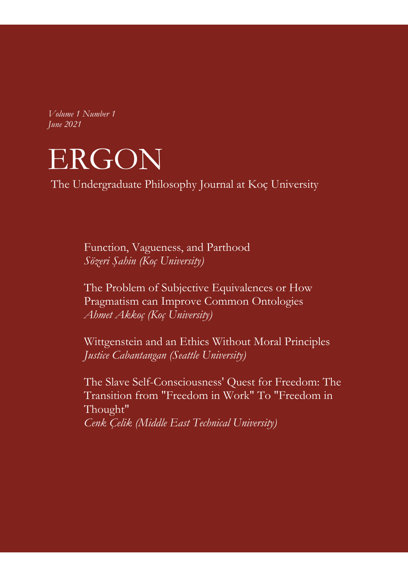*Volume 1 Number 1 June 2021*



The Undergraduate Philosophy Journal at Koç University

Function, Vagueness, and Parthood *Sözeri Şahin (Koç University)* 

The Problem of Subjective Equivalences or How Pragmatism can Improve Common Ontologies *Ahmet Akkoç (Koç University)* 

Wittgenstein and an Ethics Without Moral Principles *Justice Cabantangan (Seattle University)* 

The Slave Self-Consciousness' Quest for Freedom: The Transition from "Freedom in Work" To "Freedom in Thought" *Cenk Çelik (Middle East Technical University)*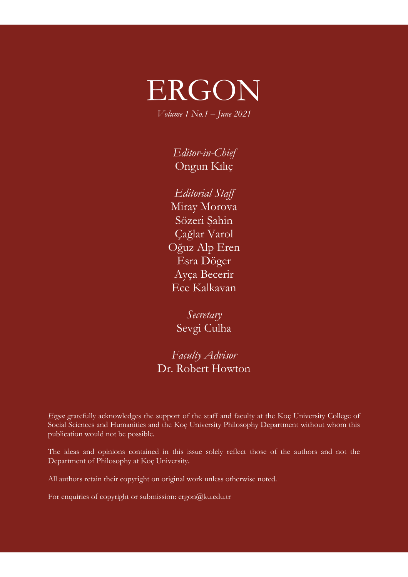# ERGON

*Volume 1 No.1 – June 2021*

*Editor-in-Chief* Ongun Kılıç

*Editorial Staff* Miray Morova Sözeri Şahin Çağlar Varol Oğuz Alp Eren Esra Döger Ayça Becerir Ece Kalkavan

*Secretary* Sevgi Culha

*Faculty Advisor*  Dr. Robert Howton

*Ergon* gratefully acknowledges the support of the staff and faculty at the Koç University College of Social Sciences and Humanities and the Koç University Philosophy Department without whom this publication would not be possible.

The ideas and opinions contained in this issue solely reflect those of the authors and not the Department of Philosophy at Koç University.

All authors retain their copyright on original work unless otherwise noted.

For enquiries of copyright or submission: ergon@ku.edu.tr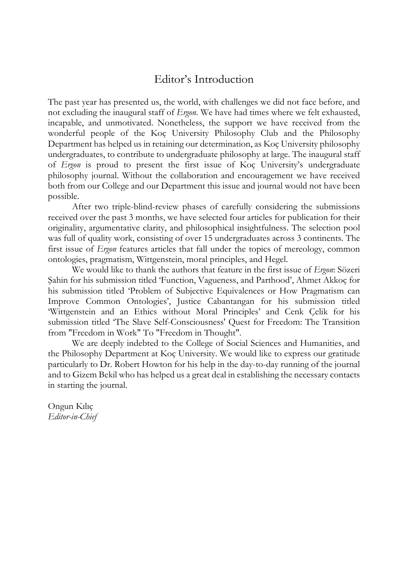## Editor's Introduction

The past year has presented us, the world, with challenges we did not face before, and not excluding the inaugural staff of *Ergon*. We have had times where we felt exhausted, incapable, and unmotivated. Nonetheless, the support we have received from the wonderful people of the Koç University Philosophy Club and the Philosophy Department has helped us in retaining our determination, as Koç University philosophy undergraduates, to contribute to undergraduate philosophy at large. The inaugural staff of *Ergon* is proud to present the first issue of Koç University's undergraduate philosophy journal. Without the collaboration and encouragement we have received both from our College and our Department this issue and journal would not have been possible.

After two triple-blind-review phases of carefully considering the submissions received over the past 3 months, we have selected four articles for publication for their originality, argumentative clarity, and philosophical insightfulness. The selection pool was full of quality work, consisting of over 15 undergraduates across 3 continents. The first issue of *Ergon* features articles that fall under the topics of mereology, common ontologies, pragmatism, Wittgenstein, moral principles, and Hegel.

We would like to thank the authors that feature in the first issue of *Ergon*: Sözeri Şahin for his submission titled 'Function, Vagueness, and Parthood', Ahmet Akkoç for his submission titled 'Problem of Subjective Equivalences or How Pragmatism can Improve Common Ontologies', Justice Cabantangan for his submission titled 'Wittgenstein and an Ethics without Moral Principles' and Cenk Çelik for his submission titled 'The Slave Self-Consciousness' Quest for Freedom: The Transition from "Freedom in Work" To "Freedom in Thought".

We are deeply indebted to the College of Social Sciences and Humanities, and the Philosophy Department at Koç University. We would like to express our gratitude particularly to Dr. Robert Howton for his help in the day-to-day running of the journal and to Gizem Bekil who has helped us a great deal in establishing the necessary contacts in starting the journal.

Ongun Kılıç *Editor-in-Chief*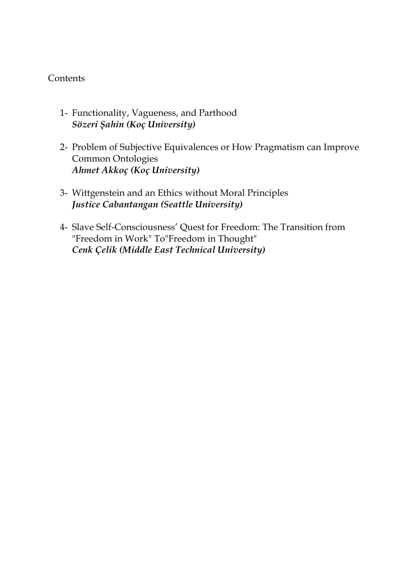#### **Contents**

- 1- Functionality, Vagueness, and Parthood *Sözeri Şahin (Koç University)*
- 2- Problem of Subjective Equivalences or How Pragmatism can Improve Common Ontologies *Ahmet Akkoç (Koç University)*
- 3- Wittgenstein and an Ethics without Moral Principles *Justice Cabantangan (Seattle University)*
- 4- Slave Self-Consciousness' Quest for Freedom: The Transition from "Freedom in Work" To"Freedom in Thought" *Cenk Çelik (Middle East Technical University)*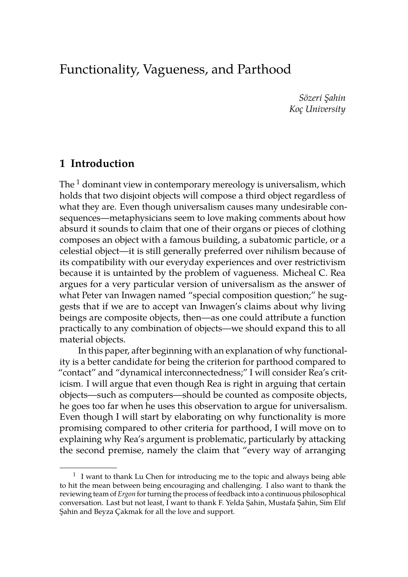# Functionality, Vagueness, and Parthood

*Sözeri Şahin Koç University*

#### **1 Introduction**

The  $1$  dominant view in contemporary mereology is universalism, which holds that two disjoint objects will compose a third object regardless of what they are. Even though universalism causes many undesirable consequences—metaphysicians seem to love making comments about how absurd it sounds to claim that one of their organs or pieces of clothing composes an object with a famous building, a subatomic particle, or a celestial object—it is still generally preferred over nihilism because of its compatibility with our everyday experiences and over restrictivism because it is untainted by the problem of vagueness. Micheal C. Rea argues for a very particular version of universalism as the answer of what Peter van Inwagen named "special composition question;" he suggests that if we are to accept van Inwagen's claims about why living beings are composite objects, then—as one could attribute a function practically to any combination of objects—we should expand this to all material objects.

In this paper, after beginning with an explanation of why functionality is a better candidate for being the criterion for parthood compared to "contact" and "dynamical interconnectedness;" I will consider Rea's criticism. I will argue that even though Rea is right in arguing that certain objects—such as computers—should be counted as composite objects, he goes too far when he uses this observation to argue for universalism. Even though I will start by elaborating on why functionality is more promising compared to other criteria for parthood, I will move on to explaining why Rea's argument is problematic, particularly by attacking the second premise, namely the claim that "every way of arranging

 $1$  I want to thank Lu Chen for introducing me to the topic and always being able to hit the mean between being encouraging and challenging. I also want to thank the reviewing team of *Ergon* for turning the process of feedback into a continuous philosophical conversation. Last but not least, I want to thank F. Yelda Şahin, Mustafa Şahin, Sim Elif Şahin and Beyza Çakmak for all the love and support.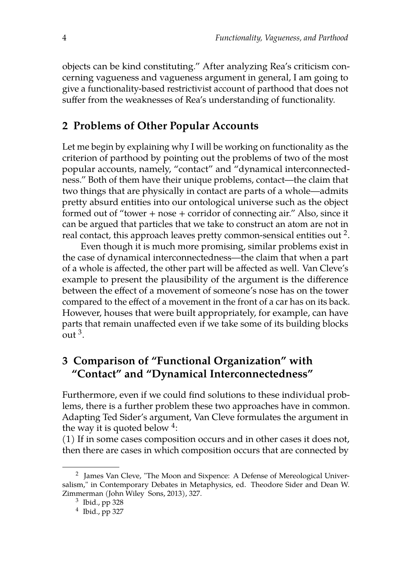objects can be kind constituting." After analyzing Rea's criticism concerning vagueness and vagueness argument in general, I am going to give a functionality-based restrictivist account of parthood that does not suffer from the weaknesses of Rea's understanding of functionality.

#### **2 Problems of Other Popular Accounts**

Let me begin by explaining why I will be working on functionality as the criterion of parthood by pointing out the problems of two of the most popular accounts, namely, "contact" and "dynamical interconnectedness." Both of them have their unique problems, contact—the claim that two things that are physically in contact are parts of a whole—admits pretty absurd entities into our ontological universe such as the object formed out of "tower + nose + corridor of connecting air." Also, since it can be argued that particles that we take to construct an atom are not in real contact, this approach leaves pretty common-sensical entities out  $^2$ .

Even though it is much more promising, similar problems exist in the case of dynamical interconnectedness—the claim that when a part of a whole is affected, the other part will be affected as well. Van Cleve's example to present the plausibility of the argument is the difference between the effect of a movement of someone's nose has on the tower compared to the effect of a movement in the front of a car has on its back. However, houses that were built appropriately, for example, can have parts that remain unaffected even if we take some of its building blocks out  $^3$ .

## **3 Comparison of "Functional Organization" with "Contact" and "Dynamical Interconnectedness"**

Furthermore, even if we could find solutions to these individual problems, there is a further problem these two approaches have in common. Adapting Ted Sider's argument, Van Cleve formulates the argument in the way it is quoted below  $4$ :

(1) If in some cases composition occurs and in other cases it does not, then there are cases in which composition occurs that are connected by

<sup>&</sup>lt;sup>2</sup> James Van Cleve, "The Moon and Sixpence: A Defense of Mereological Universalism," in Contemporary Debates in Metaphysics, ed. Theodore Sider and Dean W. Zimmerman (John Wiley Sons, 2013), 327.

 $^3$  Ibid., pp 328

<sup>4</sup> Ibid., pp 327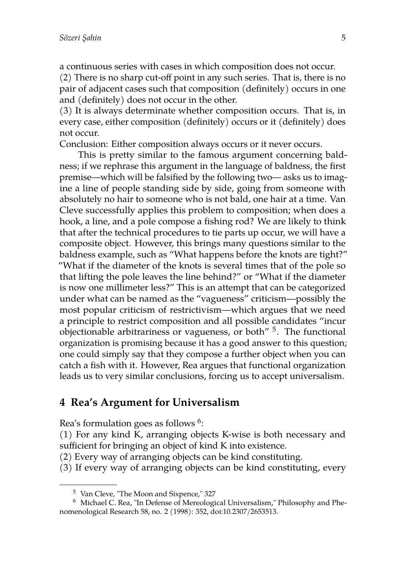a continuous series with cases in which composition does not occur.

(2) There is no sharp cut-off point in any such series. That is, there is no pair of adjacent cases such that composition (definitely) occurs in one and (definitely) does not occur in the other.

(3) It is always determinate whether composition occurs. That is, in every case, either composition (definitely) occurs or it (definitely) does not occur.

Conclusion: Either composition always occurs or it never occurs.

This is pretty similar to the famous argument concerning baldness; if we rephrase this argument in the language of baldness, the first premise—which will be falsified by the following two— asks us to imagine a line of people standing side by side, going from someone with absolutely no hair to someone who is not bald, one hair at a time. Van Cleve successfully applies this problem to composition; when does a hook, a line, and a pole compose a fishing rod? We are likely to think that after the technical procedures to tie parts up occur, we will have a composite object. However, this brings many questions similar to the baldness example, such as "What happens before the knots are tight?" "What if the diameter of the knots is several times that of the pole so that lifting the pole leaves the line behind?" or "What if the diameter is now one millimeter less?" This is an attempt that can be categorized under what can be named as the "vagueness" criticism—possibly the most popular criticism of restrictivism—which argues that we need a principle to restrict composition and all possible candidates "incur objectionable arbitrariness or vagueness, or both" <sup>5</sup>. The functional organization is promising because it has a good answer to this question; one could simply say that they compose a further object when you can catch a fish with it. However, Rea argues that functional organization leads us to very similar conclusions, forcing us to accept universalism.

#### **4 Rea's Argument for Universalism**

Rea's formulation goes as follows  $^6$ :

(1) For any kind K, arranging objects K-wise is both necessary and sufficient for bringing an object of kind K into existence.

(2) Every way of arranging objects can be kind constituting.

(3) If every way of arranging objects can be kind constituting, every

<sup>5</sup> Van Cleve, "The Moon and Sixpence," 327

<sup>6</sup> Michael C. Rea, "In Defense of Mereological Universalism," Philosophy and Phenomenological Research 58, no. 2 (1998): 352, doi:10.2307/2653513.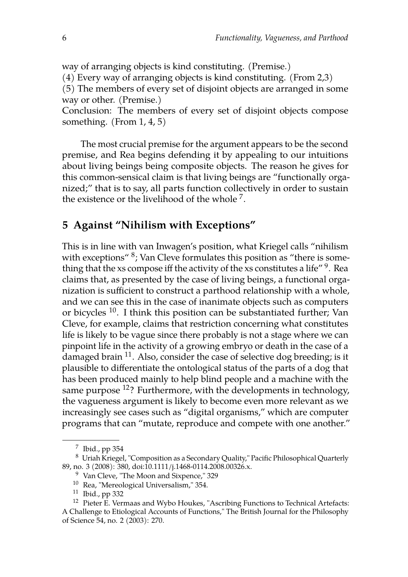way of arranging objects is kind constituting. (Premise.)

(4) Every way of arranging objects is kind constituting. (From 2,3)

(5) The members of every set of disjoint objects are arranged in some way or other. (Premise.)

Conclusion: The members of every set of disjoint objects compose something. (From 1, 4, 5)

The most crucial premise for the argument appears to be the second premise, and Rea begins defending it by appealing to our intuitions about living beings being composite objects. The reason he gives for this common-sensical claim is that living beings are "functionally organized;" that is to say, all parts function collectively in order to sustain the existence or the livelihood of the whole  $^7$ .

#### **5 Against "Nihilism with Exceptions"**

This is in line with van Inwagen's position, what Kriegel calls "nihilism with exceptions" <sup>8</sup>; Van Cleve formulates this position as "there is something that the xs compose iff the activity of the xs constitutes a life"  $^9$  . Rea claims that, as presented by the case of living beings, a functional organization is sufficient to construct a parthood relationship with a whole, and we can see this in the case of inanimate objects such as computers or bicycles <sup>10</sup>. I think this position can be substantiated further; Van Cleve, for example, claims that restriction concerning what constitutes life is likely to be vague since there probably is not a stage where we can pinpoint life in the activity of a growing embryo or death in the case of a damaged brain <sup>11</sup>. Also, consider the case of selective dog breeding; is it plausible to differentiate the ontological status of the parts of a dog that has been produced mainly to help blind people and a machine with the same purpose <sup>12</sup>? Furthermore, with the developments in technology, the vagueness argument is likely to become even more relevant as we increasingly see cases such as "digital organisms," which are computer programs that can "mutate, reproduce and compete with one another."

 $^7$  Ibid., pp 354

<sup>8</sup> Uriah Kriegel, "Composition as a Secondary Quality," Pacific Philosophical Quarterly 89, no. 3 (2008): 380, doi:10.1111/j.1468-0114.2008.00326.x.

<sup>9</sup> Van Cleve, "The Moon and Sixpence," 329

<sup>10</sup> Rea, "Mereological Universalism," 354.

 $11$  Ibid., pp 332

<sup>&</sup>lt;sup>12</sup> Pieter E. Vermaas and Wybo Houkes, "Ascribing Functions to Technical Artefacts: A Challenge to Etiological Accounts of Functions," The British Journal for the Philosophy of Science 54, no. 2 (2003): 270.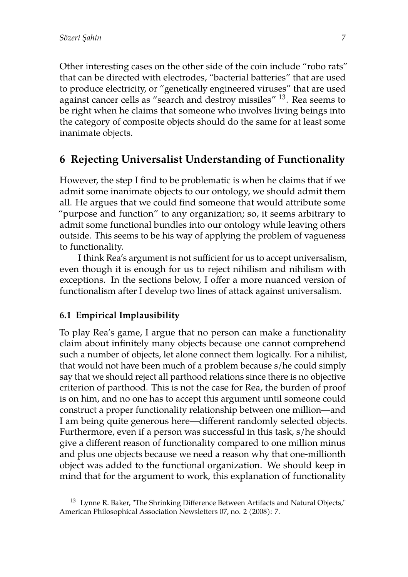Other interesting cases on the other side of the coin include "robo rats" that can be directed with electrodes, "bacterial batteries" that are used to produce electricity, or "genetically engineered viruses" that are used against cancer cells as "search and destroy missiles" <sup>13</sup>. Rea seems to be right when he claims that someone who involves living beings into the category of composite objects should do the same for at least some inanimate objects.

#### **6 Rejecting Universalist Understanding of Functionality**

However, the step I find to be problematic is when he claims that if we admit some inanimate objects to our ontology, we should admit them all. He argues that we could find someone that would attribute some "purpose and function" to any organization; so, it seems arbitrary to admit some functional bundles into our ontology while leaving others outside. This seems to be his way of applying the problem of vagueness to functionality.

I think Rea's argument is not sufficient for us to accept universalism, even though it is enough for us to reject nihilism and nihilism with exceptions. In the sections below, I offer a more nuanced version of functionalism after I develop two lines of attack against universalism.

#### **6.1 Empirical Implausibility**

To play Rea's game, I argue that no person can make a functionality claim about infinitely many objects because one cannot comprehend such a number of objects, let alone connect them logically. For a nihilist, that would not have been much of a problem because s/he could simply say that we should reject all parthood relations since there is no objective criterion of parthood. This is not the case for Rea, the burden of proof is on him, and no one has to accept this argument until someone could construct a proper functionality relationship between one million—and I am being quite generous here—different randomly selected objects. Furthermore, even if a person was successful in this task, s/he should give a different reason of functionality compared to one million minus and plus one objects because we need a reason why that one-millionth object was added to the functional organization. We should keep in mind that for the argument to work, this explanation of functionality

 $13$  Lynne R. Baker, "The Shrinking Difference Between Artifacts and Natural Objects," American Philosophical Association Newsletters 07, no. 2 (2008): 7.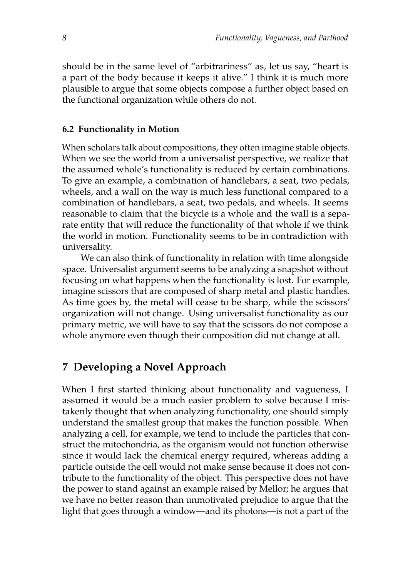should be in the same level of "arbitrariness" as, let us say, "heart is a part of the body because it keeps it alive." I think it is much more plausible to argue that some objects compose a further object based on the functional organization while others do not.

#### **6.2 Functionality in Motion**

When scholars talk about compositions, they often imagine stable objects. When we see the world from a universalist perspective, we realize that the assumed whole's functionality is reduced by certain combinations. To give an example, a combination of handlebars, a seat, two pedals, wheels, and a wall on the way is much less functional compared to a combination of handlebars, a seat, two pedals, and wheels. It seems reasonable to claim that the bicycle is a whole and the wall is a separate entity that will reduce the functionality of that whole if we think the world in motion. Functionality seems to be in contradiction with universality.

We can also think of functionality in relation with time alongside space. Universalist argument seems to be analyzing a snapshot without focusing on what happens when the functionality is lost. For example, imagine scissors that are composed of sharp metal and plastic handles. As time goes by, the metal will cease to be sharp, while the scissors' organization will not change. Using universalist functionality as our primary metric, we will have to say that the scissors do not compose a whole anymore even though their composition did not change at all.

#### **7 Developing a Novel Approach**

When I first started thinking about functionality and vagueness, I assumed it would be a much easier problem to solve because I mistakenly thought that when analyzing functionality, one should simply understand the smallest group that makes the function possible. When analyzing a cell, for example, we tend to include the particles that construct the mitochondria, as the organism would not function otherwise since it would lack the chemical energy required, whereas adding a particle outside the cell would not make sense because it does not contribute to the functionality of the object. This perspective does not have the power to stand against an example raised by Mellor; he argues that we have no better reason than unmotivated prejudice to argue that the light that goes through a window—and its photons—is not a part of the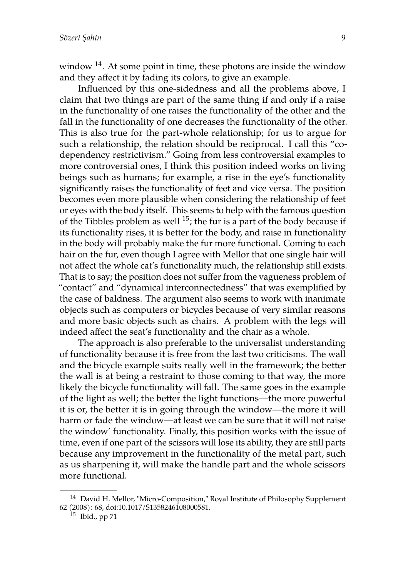window  $14$ . At some point in time, these photons are inside the window and they affect it by fading its colors, to give an example.

Influenced by this one-sidedness and all the problems above, I claim that two things are part of the same thing if and only if a raise in the functionality of one raises the functionality of the other and the fall in the functionality of one decreases the functionality of the other. This is also true for the part-whole relationship; for us to argue for such a relationship, the relation should be reciprocal. I call this "codependency restrictivism." Going from less controversial examples to more controversial ones, I think this position indeed works on living beings such as humans; for example, a rise in the eye's functionality significantly raises the functionality of feet and vice versa. The position becomes even more plausible when considering the relationship of feet or eyes with the body itself. This seems to help with the famous question of the Tibbles problem as well  $^{15}$ ; the fur is a part of the body because if its functionality rises, it is better for the body, and raise in functionality in the body will probably make the fur more functional. Coming to each hair on the fur, even though I agree with Mellor that one single hair will not affect the whole cat's functionality much, the relationship still exists. That is to say; the position does not suffer from the vagueness problem of "contact" and "dynamical interconnectedness" that was exemplified by the case of baldness. The argument also seems to work with inanimate objects such as computers or bicycles because of very similar reasons and more basic objects such as chairs. A problem with the legs will indeed affect the seat's functionality and the chair as a whole.

The approach is also preferable to the universalist understanding of functionality because it is free from the last two criticisms. The wall and the bicycle example suits really well in the framework; the better the wall is at being a restraint to those coming to that way, the more likely the bicycle functionality will fall. The same goes in the example of the light as well; the better the light functions—the more powerful it is or, the better it is in going through the window—the more it will harm or fade the window—at least we can be sure that it will not raise the window' functionality. Finally, this position works with the issue of time, even if one part of the scissors will lose its ability, they are still parts because any improvement in the functionality of the metal part, such as us sharpening it, will make the handle part and the whole scissors more functional.

<sup>&</sup>lt;sup>14</sup> David H. Mellor, "Micro-Composition," Royal Institute of Philosophy Supplement 62 (2008): 68, doi:10.1017/S1358246108000581.

 $15$  Ibid., pp 71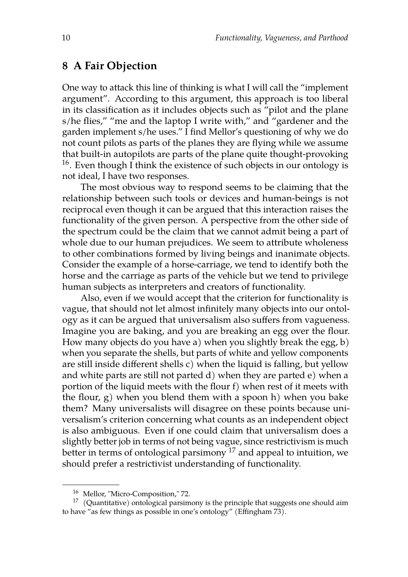#### **8 A Fair Objection**

One way to attack this line of thinking is what I will call the "implement argument". According to this argument, this approach is too liberal in its classification as it includes objects such as  $\frac{1}{x}$  pilot and the plane s/he flies," "me and the laptop I write with," and "gardener and the garden implement s/he uses." I find Mellor's questioning of why we do not count pilots as parts of the planes they are flying while we assume that built-in autopilots are parts of the plane quite thought-provoking  $16$ . Even though I think the existence of such objects in our ontology is not ideal, I have two responses.

The most obvious way to respond seems to be claiming that the relationship between such tools or devices and human-beings is not reciprocal even though it can be argued that this interaction raises the functionality of the given person. A perspective from the other side of the spectrum could be the claim that we cannot admit being a part of whole due to our human prejudices. We seem to attribute wholeness to other combinations formed by living beings and inanimate objects. Consider the example of a horse-carriage, we tend to identify both the horse and the carriage as parts of the vehicle but we tend to privilege human subjects as interpreters and creators of functionality.

Also, even if we would accept that the criterion for functionality is vague, that should not let almost infinitely many objects into our ontology as it can be argued that universalism also suffers from vagueness. Imagine you are baking, and you are breaking an egg over the flour. How many objects do you have a) when you slightly break the egg, b) when you separate the shells, but parts of white and yellow components are still inside different shells c) when the liquid is falling, but yellow and white parts are still not parted d) when they are parted e) when a portion of the liquid meets with the flour f) when rest of it meets with the flour, g) when you blend them with a spoon h) when you bake them? Many universalists will disagree on these points because universalism's criterion concerning what counts as an independent object is also ambiguous. Even if one could claim that universalism does a slightly better job in terms of not being vague, since restrictivism is much better in terms of ontological parsimony  $17$  and appeal to intuition, we should prefer a restrictivist understanding of functionality.

<sup>16</sup> Mellor, "Micro-Composition," 72.

 $17$  (Quantitative) ontological parsimony is the principle that suggests one should aim to have "as few things as possible in one's ontology" (Effingham 73).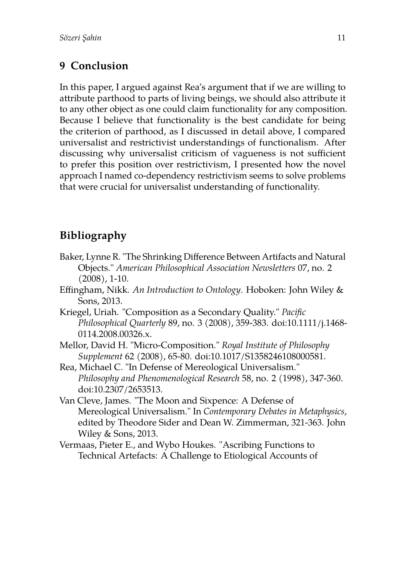## **9 Conclusion**

In this paper, I argued against Rea's argument that if we are willing to attribute parthood to parts of living beings, we should also attribute it to any other object as one could claim functionality for any composition. Because I believe that functionality is the best candidate for being the criterion of parthood, as I discussed in detail above, I compared universalist and restrictivist understandings of functionalism. After discussing why universalist criticism of vagueness is not sufficient to prefer this position over restrictivism, I presented how the novel approach I named co-dependency restrictivism seems to solve problems that were crucial for universalist understanding of functionality.

# **Bibliography**

- Baker, Lynne R. "The Shrinking Difference Between Artifacts and Natural Objects." *American Philosophical Association Newsletters* 07, no. 2 (2008), 1-10.
- Effingham, Nikk. *An Introduction to Ontology*. Hoboken: John Wiley & Sons, 2013.
- Kriegel, Uriah. "Composition as a Secondary Quality." *Pacific Philosophical Quarterly* 89, no. 3 (2008), 359-383. doi:10.1111/j.1468- 0114.2008.00326.x.
- Mellor, David H. "Micro-Composition." *Royal Institute of Philosophy Supplement* 62 (2008), 65-80. doi:10.1017/S1358246108000581.
- Rea, Michael C. "In Defense of Mereological Universalism." *Philosophy and Phenomenological Research* 58, no. 2 (1998), 347-360. doi:10.2307/2653513.
- Van Cleve, James. "The Moon and Sixpence: A Defense of Mereological Universalism." In *Contemporary Debates in Metaphysics*, edited by Theodore Sider and Dean W. Zimmerman, 321-363. John Wiley & Sons, 2013.
- Vermaas, Pieter E., and Wybo Houkes. "Ascribing Functions to Technical Artefacts: A Challenge to Etiological Accounts of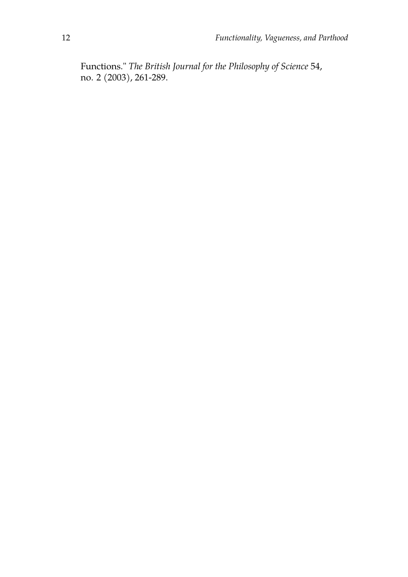Functions." *The British Journal for the Philosophy of Science* 54, no. 2 (2003), 261-289.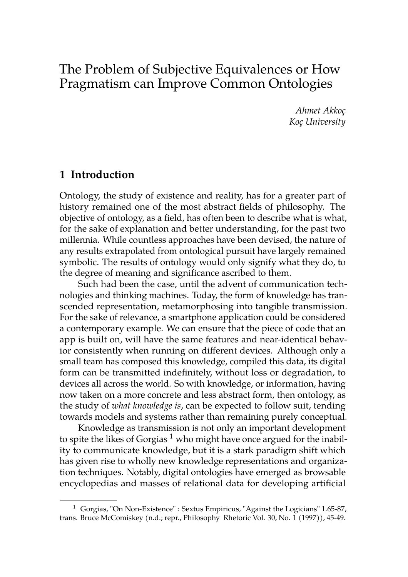# The Problem of Subjective Equivalences or How Pragmatism can Improve Common Ontologies

*Ahmet Akkoç Koç University*

#### **1 Introduction**

Ontology, the study of existence and reality, has for a greater part of history remained one of the most abstract fields of philosophy. The objective of ontology, as a field, has often been to describe what is what, for the sake of explanation and better understanding, for the past two millennia. While countless approaches have been devised, the nature of any results extrapolated from ontological pursuit have largely remained symbolic. The results of ontology would only signify what they do, to the degree of meaning and significance ascribed to them.

Such had been the case, until the advent of communication technologies and thinking machines. Today, the form of knowledge has transcended representation, metamorphosing into tangible transmission. For the sake of relevance, a smartphone application could be considered a contemporary example. We can ensure that the piece of code that an app is built on, will have the same features and near-identical behavior consistently when running on different devices. Although only a small team has composed this knowledge, compiled this data, its digital form can be transmitted indefinitely, without loss or degradation, to devices all across the world. So with knowledge, or information, having now taken on a more concrete and less abstract form, then ontology, as the study of *what knowledge is*, can be expected to follow suit, tending towards models and systems rather than remaining purely conceptual.

Knowledge as transmission is not only an important development to spite the likes of Gorgias<sup>1</sup> who might have once argued for the inability to communicate knowledge, but it is a stark paradigm shift which has given rise to wholly new knowledge representations and organization techniques. Notably, digital ontologies have emerged as browsable encyclopedias and masses of relational data for developing artificial

 $1$  Gorgias, "On Non-Existence" : Sextus Empiricus, "Against the Logicians" 1.65-87, trans. Bruce McComiskey (n.d.; repr., Philosophy Rhetoric Vol. 30, No. 1 (1997)), 45-49.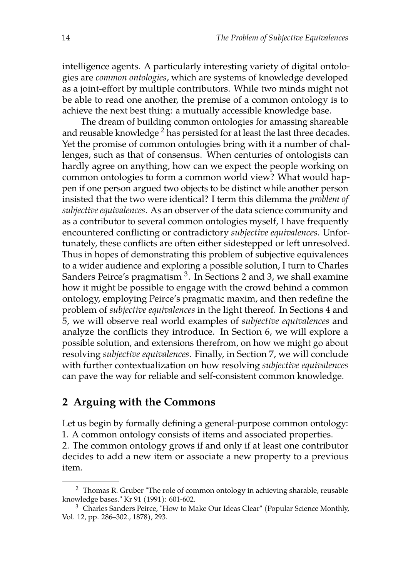intelligence agents. A particularly interesting variety of digital ontologies are *common ontologies*, which are systems of knowledge developed as a joint-effort by multiple contributors. While two minds might not be able to read one another, the premise of a common ontology is to achieve the next best thing: a mutually accessible knowledge base.

The dream of building common ontologies for amassing shareable and reusable knowledge<sup>2</sup> has persisted for at least the last three decades. Yet the promise of common ontologies bring with it a number of challenges, such as that of consensus. When centuries of ontologists can hardly agree on anything, how can we expect the people working on common ontologies to form a common world view? What would happen if one person argued two objects to be distinct while another person insisted that the two were identical? I term this dilemma the *problem of subjective equivalences*. As an observer of the data science community and as a contributor to several common ontologies myself, I have frequently encountered conflicting or contradictory *subjective equivalences*. Unfortunately, these conflicts are often either sidestepped or left unresolved. Thus in hopes of demonstrating this problem of subjective equivalences to a wider audience and exploring a possible solution, I turn to Charles Sanders Peirce's pragmatism <sup>3</sup>. In Sections 2 and 3, we shall examine how it might be possible to engage with the crowd behind a common ontology, employing Peirce's pragmatic maxim, and then redefine the problem of *subjective equivalences* in the light thereof. In Sections 4 and 5, we will observe real world examples of *subjective equivalences* and analyze the conflicts they introduce. In Section 6, we will explore a possible solution, and extensions therefrom, on how we might go about resolving *subjective equivalences*. Finally, in Section 7, we will conclude with further contextualization on how resolving *subjective equivalences* can pave the way for reliable and self-consistent common knowledge.

#### **2 Arguing with the Commons**

Let us begin by formally defining a general-purpose common ontology: 1. A common ontology consists of items and associated properties. 2. The common ontology grows if and only if at least one contributor decides to add a new item or associate a new property to a previous item.

<sup>&</sup>lt;sup>2</sup> Thomas R. Gruber "The role of common ontology in achieving sharable, reusable knowledge bases." Kr 91 (1991): 601-602.

<sup>&</sup>lt;sup>3</sup> Charles Sanders Peirce, "How to Make Our Ideas Clear" (Popular Science Monthly, Vol. 12, pp. 286–302., 1878), 293.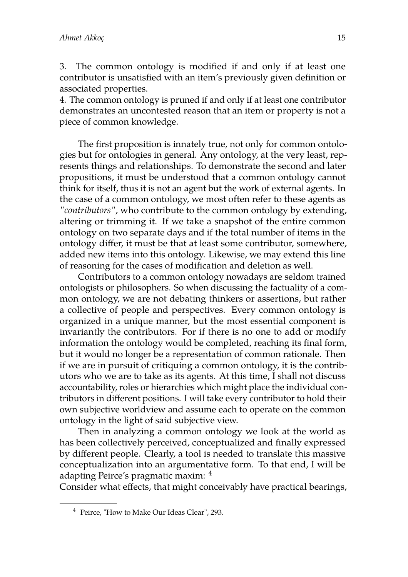3. The common ontology is modified if and only if at least one contributor is unsatisfied with an item's previously given definition or associated properties.

4. The common ontology is pruned if and only if at least one contributor demonstrates an uncontested reason that an item or property is not a piece of common knowledge.

The first proposition is innately true, not only for common ontologies but for ontologies in general. Any ontology, at the very least, represents things and relationships. To demonstrate the second and later propositions, it must be understood that a common ontology cannot think for itself, thus it is not an agent but the work of external agents. In the case of a common ontology, we most often refer to these agents as *"contributors"*, who contribute to the common ontology by extending, altering or trimming it. If we take a snapshot of the entire common ontology on two separate days and if the total number of items in the ontology differ, it must be that at least some contributor, somewhere, added new items into this ontology. Likewise, we may extend this line of reasoning for the cases of modification and deletion as well.

Contributors to a common ontology nowadays are seldom trained ontologists or philosophers. So when discussing the factuality of a common ontology, we are not debating thinkers or assertions, but rather a collective of people and perspectives. Every common ontology is organized in a unique manner, but the most essential component is invariantly the contributors. For if there is no one to add or modify information the ontology would be completed, reaching its final form, but it would no longer be a representation of common rationale. Then if we are in pursuit of critiquing a common ontology, it is the contributors who we are to take as its agents. At this time, I shall not discuss accountability, roles or hierarchies which might place the individual contributors in different positions. I will take every contributor to hold their own subjective worldview and assume each to operate on the common ontology in the light of said subjective view.

Then in analyzing a common ontology we look at the world as has been collectively perceived, conceptualized and finally expressed by different people. Clearly, a tool is needed to translate this massive conceptualization into an argumentative form. To that end, I will be adapting Peirce's pragmatic maxim: <sup>4</sup>

Consider what effects, that might conceivably have practical bearings,

<sup>4</sup> Peirce, "How to Make Our Ideas Clear", 293.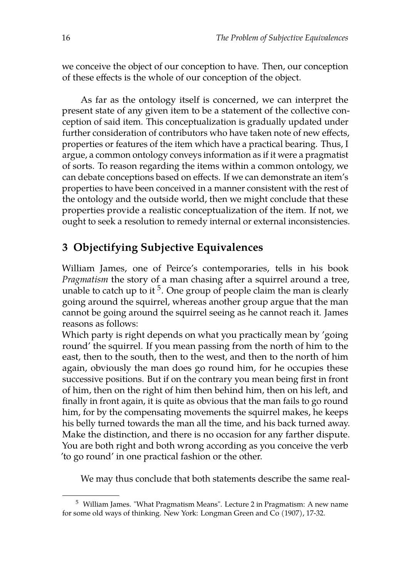we conceive the object of our conception to have. Then, our conception of these effects is the whole of our conception of the object.

As far as the ontology itself is concerned, we can interpret the present state of any given item to be a statement of the collective conception of said item. This conceptualization is gradually updated under further consideration of contributors who have taken note of new effects, properties or features of the item which have a practical bearing. Thus, I argue, a common ontology conveys information as if it were a pragmatist of sorts. To reason regarding the items within a common ontology, we can debate conceptions based on effects. If we can demonstrate an item's properties to have been conceived in a manner consistent with the rest of the ontology and the outside world, then we might conclude that these properties provide a realistic conceptualization of the item. If not, we ought to seek a resolution to remedy internal or external inconsistencies.

## **3 Objectifying Subjective Equivalences**

William James, one of Peirce's contemporaries, tells in his book *Pragmatism* the story of a man chasing after a squirrel around a tree, unable to catch up to it  $5$ . One group of people claim the man is clearly going around the squirrel, whereas another group argue that the man cannot be going around the squirrel seeing as he cannot reach it. James reasons as follows:

Which party is right depends on what you practically mean by 'going round' the squirrel. If you mean passing from the north of him to the east, then to the south, then to the west, and then to the north of him again, obviously the man does go round him, for he occupies these successive positions. But if on the contrary you mean being first in front of him, then on the right of him then behind him, then on his left, and finally in front again, it is quite as obvious that the man fails to go round him, for by the compensating movements the squirrel makes, he keeps his belly turned towards the man all the time, and his back turned away. Make the distinction, and there is no occasion for any farther dispute. You are both right and both wrong according as you conceive the verb 'to go round' in one practical fashion or the other.

We may thus conclude that both statements describe the same real-

<sup>5</sup> William James. "What Pragmatism Means". Lecture 2 in Pragmatism: A new name for some old ways of thinking. New York: Longman Green and Co (1907), 17-32.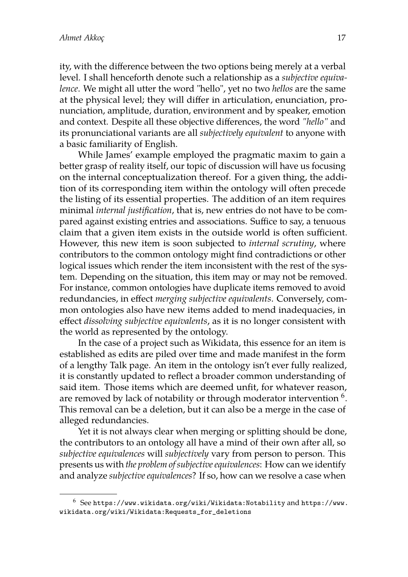ity, with the difference between the two options being merely at a verbal level. I shall henceforth denote such a relationship as a *subjective equivalence*. We might all utter the word "hello", yet no two *hellos* are the same at the physical level; they will differ in articulation, enunciation, pronunciation, amplitude, duration, environment and by speaker, emotion and context. Despite all these objective differences, the word *"hello"* and its pronunciational variants are all *subjectively equivalent* to anyone with a basic familiarity of English.

While James' example employed the pragmatic maxim to gain a better grasp of reality itself, our topic of discussion will have us focusing on the internal conceptualization thereof. For a given thing, the addition of its corresponding item within the ontology will often precede the listing of its essential properties. The addition of an item requires minimal *internal justification*, that is, new entries do not have to be compared against existing entries and associations. Suffice to say, a tenuous claim that a given item exists in the outside world is often sufficient. However, this new item is soon subjected to *internal scrutiny*, where contributors to the common ontology might find contradictions or other logical issues which render the item inconsistent with the rest of the system. Depending on the situation, this item may or may not be removed. For instance, common ontologies have duplicate items removed to avoid redundancies, in effect *merging subjective equivalents*. Conversely, common ontologies also have new items added to mend inadequacies, in effect *dissolving subjective equivalents*, as it is no longer consistent with the world as represented by the ontology.

In the case of a project such as Wikidata, this essence for an item is established as edits are piled over time and made manifest in the form of a lengthy Talk page. An item in the ontology isn't ever fully realized, it is constantly updated to reflect a broader common understanding of said item. Those items which are deemed unfit, for whatever reason, are removed by lack of notability or through moderator intervention  $^6.$ This removal can be a deletion, but it can also be a merge in the case of alleged redundancies.

Yet it is not always clear when merging or splitting should be done, the contributors to an ontology all have a mind of their own after all, so *subjective equivalences* will *subjectively* vary from person to person. This presents us with *the problem of subjective equivalences*: How can we identify and analyze *subjective equivalences*? If so, how can we resolve a case when

<sup>6</sup> See <https://www.wikidata.org/wiki/Wikidata:Notability> and [https://www.](https://www.wikidata.org/wiki/Wikidata:Requests_for_deletions) [wikidata.org/wiki/Wikidata:Requests\\_for\\_deletions](https://www.wikidata.org/wiki/Wikidata:Requests_for_deletions)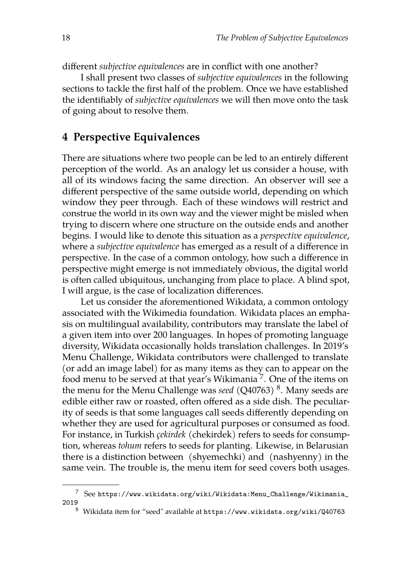different *subjective equivalences* are in conflict with one another?

I shall present two classes of *subjective equivalences* in the following sections to tackle the first half of the problem. Once we have established the identifiably of *subjective equivalences* we will then move onto the task of going about to resolve them.

#### **4 Perspective Equivalences**

There are situations where two people can be led to an entirely different perception of the world. As an analogy let us consider a house, with all of its windows facing the same direction. An observer will see a different perspective of the same outside world, depending on which window they peer through. Each of these windows will restrict and construe the world in its own way and the viewer might be misled when trying to discern where one structure on the outside ends and another begins. I would like to denote this situation as a *perspective equivalence*, where a *subjective equivalence* has emerged as a result of a difference in perspective. In the case of a common ontology, how such a difference in perspective might emerge is not immediately obvious, the digital world is often called ubiquitous, unchanging from place to place. A blind spot, I will argue, is the case of localization differences.

Let us consider the aforementioned Wikidata, a common ontology associated with the Wikimedia foundation. Wikidata places an emphasis on multilingual availability, contributors may translate the label of a given item into over 200 languages. In hopes of promoting language diversity, Wikidata occasionally holds translation challenges. In 2019's Menu Challenge, Wikidata contributors were challenged to translate (or add an image label) for as many items as they can to appear on the food menu to be served at that year's Wikimania <sup>7</sup>. One of the items on the menu for the Menu Challenge was *seed* (Q40763) <sup>8</sup>. Many seeds are edible either raw or roasted, often offered as a side dish. The peculiarity of seeds is that some languages call seeds differently depending on whether they are used for agricultural purposes or consumed as food. For instance, in Turkish *çekirdek* (chekirdek) refers to seeds for consumption, whereas *tohum* refers to seeds for planting. Likewise, in Belarusian there is a distinction between (shyemechki) and (nashyenny) in the same vein. The trouble is, the menu item for seed covers both usages.

<sup>7</sup> See [https://www.wikidata.org/wiki/Wikidata:Menu\\_Challenge/Wikimania\\_](https://www.wikidata.org/wiki/Wikidata:Menu_Challenge/Wikimania_2019) [2019](https://www.wikidata.org/wiki/Wikidata:Menu_Challenge/Wikimania_2019)

<sup>8</sup> Wikidata item for "seed" available at [https://www.wikidata.org/wiki/Q40763]( https://www.wikidata.org/wiki/Q40763)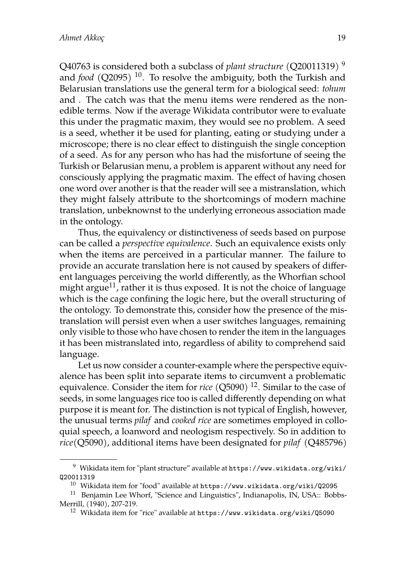Q40763 is considered both a subclass of *plant structure* (Q20011319) <sup>9</sup> and *food* (Q2095) <sup>10</sup>. To resolve the ambiguity, both the Turkish and Belarusian translations use the general term for a biological seed: *tohum* and . The catch was that the menu items were rendered as the nonedible terms. Now if the average Wikidata contributor were to evaluate this under the pragmatic maxim, they would see no problem. A seed is a seed, whether it be used for planting, eating or studying under a microscope; there is no clear effect to distinguish the single conception of a seed. As for any person who has had the misfortune of seeing the Turkish or Belarusian menu, a problem is apparent without any need for consciously applying the pragmatic maxim. The effect of having chosen one word over another is that the reader will see a mistranslation, which they might falsely attribute to the shortcomings of modern machine translation, unbeknownst to the underlying erroneous association made in the ontology.

Thus, the equivalency or distinctiveness of seeds based on purpose can be called a *perspective equivalence*. Such an equivalence exists only when the items are perceived in a particular manner. The failure to provide an accurate translation here is not caused by speakers of different languages perceiving the world differently, as the Whorfian school might argue<sup>11</sup>, rather it is thus exposed. It is not the choice of language which is the cage confining the logic here, but the overall structuring of the ontology. To demonstrate this, consider how the presence of the mistranslation will persist even when a user switches languages, remaining only visible to those who have chosen to render the item in the languages it has been mistranslated into, regardless of ability to comprehend said language.

Let us now consider a counter-example where the perspective equivalence has been split into separate items to circumvent a problematic equivalence. Consider the item for *rice* (Q5090)<sup>12</sup>. Similar to the case of seeds, in some languages rice too is called differently depending on what purpose it is meant for. The distinction is not typical of English, however, the unusual terms *pilaf* and *cooked rice* are sometimes employed in colloquial speech, a loanword and neologism respectively. So in addition to *rice*(Q5090), additional items have been designated for *pilaf* (Q485796)

<sup>&</sup>lt;sup>9</sup> Wikidata item for "plant structure" available at [https://www.wikidata.org/wiki/](https://www.wikidata.org/wiki/Q20011319) [Q20011319](https://www.wikidata.org/wiki/Q20011319)

 $10$  Wikidata item for "food" available at <https://www.wikidata.org/wiki/Q2095>

<sup>&</sup>lt;sup>11</sup> Benjamin Lee Whorf, "Science and Linguistics", Indianapolis, IN, USA:: Bobbs-Merrill, (1940), 207-219.

<sup>12</sup> Wikidata item for "rice" available at <https://www.wikidata.org/wiki/Q5090>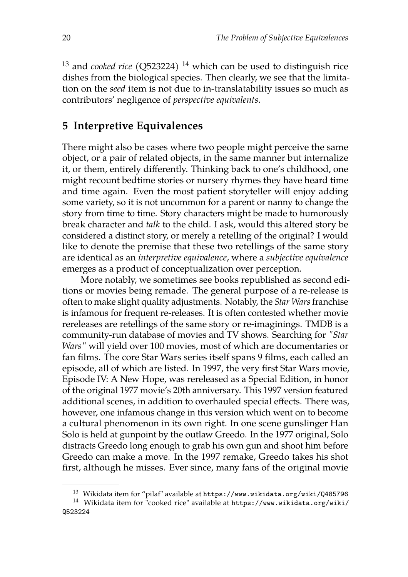<sup>13</sup> and *cooked rice* (Q523224) <sup>14</sup> which can be used to distinguish rice dishes from the biological species. Then clearly, we see that the limitation on the *seed* item is not due to in-translatability issues so much as contributors' negligence of *perspective equivalents*.

#### **5 Interpretive Equivalences**

There might also be cases where two people might perceive the same object, or a pair of related objects, in the same manner but internalize it, or them, entirely differently. Thinking back to one's childhood, one might recount bedtime stories or nursery rhymes they have heard time and time again. Even the most patient storyteller will enjoy adding some variety, so it is not uncommon for a parent or nanny to change the story from time to time. Story characters might be made to humorously break character and *talk* to the child. I ask, would this altered story be considered a distinct story, or merely a retelling of the original? I would like to denote the premise that these two retellings of the same story are identical as an *interpretive equivalence*, where a *subjective equivalence* emerges as a product of conceptualization over perception.

More notably, we sometimes see books republished as second editions or movies being remade. The general purpose of a re-release is often to make slight quality adjustments. Notably, the *Star Wars*franchise is infamous for frequent re-releases. It is often contested whether movie rereleases are retellings of the same story or re-imaginings. TMDB is a community-run database of movies and TV shows. Searching for *"Star Wars"* will yield over 100 movies, most of which are documentaries or fan films. The core Star Wars series itself spans 9 films, each called an episode, all of which are listed. In 1997, the very first Star Wars movie, Episode IV: A New Hope, was rereleased as a Special Edition, in honor of the original 1977 movie's 20th anniversary. This 1997 version featured additional scenes, in addition to overhauled special effects. There was, however, one infamous change in this version which went on to become a cultural phenomenon in its own right. In one scene gunslinger Han Solo is held at gunpoint by the outlaw Greedo. In the 1977 original, Solo distracts Greedo long enough to grab his own gun and shoot him before Greedo can make a move. In the 1997 remake, Greedo takes his shot first, although he misses. Ever since, many fans of the original movie

<sup>&</sup>lt;sup>13</sup> Wikidata item for "pilaf" available at <https://www.wikidata.org/wiki/Q485796>

<sup>14</sup> Wikidata item for "cooked rice" available at [https://www.wikidata.org/wiki/](https://www.wikidata.org/wiki/Q523224) [Q523224](https://www.wikidata.org/wiki/Q523224)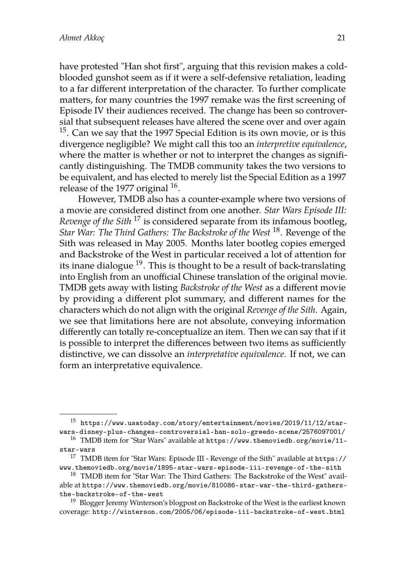have protested "Han shot first", arguing that this revision makes a coldblooded gunshot seem as if it were a self-defensive retaliation, leading to a far different interpretation of the character. To further complicate matters, for many countries the 1997 remake was the first screening of Episode IV their audiences received. The change has been so controversial that subsequent releases have altered the scene over and over again <sup>15</sup>. Can we say that the 1997 Special Edition is its own movie, or is this divergence negligible? We might call this too an *interpretive equivalence*, where the matter is whether or not to interpret the changes as significantly distinguishing. The TMDB community takes the two versions to be equivalent, and has elected to merely list the Special Edition as a 1997 release of the 1977 original  $^{16}$ .

However, TMDB also has a counter-example where two versions of a movie are considered distinct from one another. *Star Wars Episode III: Revenge of the Sith* <sup>17</sup> is considered separate from its infamous bootleg, *Star War: The Third Gathers: The Backstroke of the West* <sup>18</sup>. Revenge of the Sith was released in May 2005. Months later bootleg copies emerged and Backstroke of the West in particular received a lot of attention for its inane dialogue  $19$ . This is thought to be a result of back-translating into English from an unofficial Chinese translation of the original movie. TMDB gets away with listing *Backstroke of the West* as a different movie by providing a different plot summary, and different names for the characters which do not align with the original *Revenge of the Sith*. Again, we see that limitations here are not absolute, conveying information differently can totally re-conceptualize an item. Then we can say that if it is possible to interpret the differences between two items as sufficiently distinctive, we can dissolve an *interpretative equivalence*. If not, we can form an interpretative equivalence.

 $^{15}\,$ [https://www.usatoday.com/story/entertainment/movies/2019/11/12/star](https://www.usatoday.com/story/entertainment/movies/2019/11/12/star-wars-disney-plus-changes-controversial-han-solo-greedo-scene/2576097001/)[wars-disney-plus-changes-controversial-han-solo-greedo-scene/2576097001/](https://www.usatoday.com/story/entertainment/movies/2019/11/12/star-wars-disney-plus-changes-controversial-han-solo-greedo-scene/2576097001/)

<sup>16</sup> TMDB item for "Star Wars" available at [https://www.themoviedb.org/movie/11](https://www.themoviedb.org/movie/11-star-wars) [star-wars](https://www.themoviedb.org/movie/11-star-wars)

<sup>17</sup> TMDB item for "Star Wars: Episode III - Revenge of the Sith" available at [https://](https://www.themoviedb.org/movie/1895-star-wars-episode-iii-revenge-of-the-sith) [www.themoviedb.org/movie/1895-star-wars-episode-iii-revenge-of-the-sith](https://www.themoviedb.org/movie/1895-star-wars-episode-iii-revenge-of-the-sith)

<sup>&</sup>lt;sup>18</sup> TMDB item for "Star War: The Third Gathers: The Backstroke of the West" available at [https://www.themoviedb.org/movie/810086-star-war-the-third-gathers](https://www.themoviedb.org/movie/810086-star-war-the-third-gathers-the-backstroke-of-the-west)[the-backstroke-of-the-west](https://www.themoviedb.org/movie/810086-star-war-the-third-gathers-the-backstroke-of-the-west)

<sup>&</sup>lt;sup>19</sup> Blogger Jeremy Winterson's blogpost on Backstroke of the West is the earliest known coverage: <http://winterson.com/2005/06/episode-iii-backstroke-of-west.html>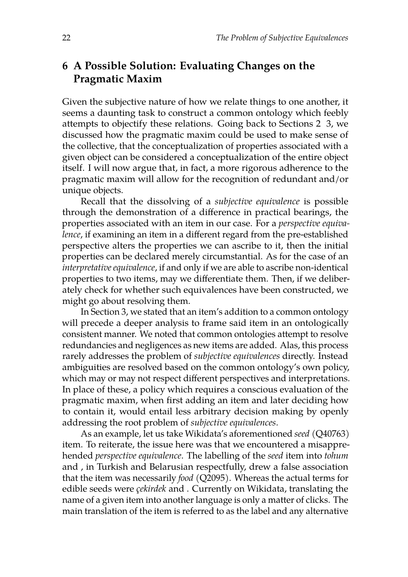## **6 A Possible Solution: Evaluating Changes on the Pragmatic Maxim**

Given the subjective nature of how we relate things to one another, it seems a daunting task to construct a common ontology which feebly attempts to objectify these relations. Going back to Sections 2 3, we discussed how the pragmatic maxim could be used to make sense of the collective, that the conceptualization of properties associated with a given object can be considered a conceptualization of the entire object itself. I will now argue that, in fact, a more rigorous adherence to the pragmatic maxim will allow for the recognition of redundant and/or unique objects.

Recall that the dissolving of a *subjective equivalence* is possible through the demonstration of a difference in practical bearings, the properties associated with an item in our case. For a *perspective equivalence*, if examining an item in a different regard from the pre-established perspective alters the properties we can ascribe to it, then the initial properties can be declared merely circumstantial. As for the case of an *interpretative equivalence*, if and only if we are able to ascribe non-identical properties to two items, may we differentiate them. Then, if we deliberately check for whether such equivalences have been constructed, we might go about resolving them.

In Section 3, we stated that an item's addition to a common ontology will precede a deeper analysis to frame said item in an ontologically consistent manner. We noted that common ontologies attempt to resolve redundancies and negligences as new items are added. Alas, this process rarely addresses the problem of *subjective equivalences* directly. Instead ambiguities are resolved based on the common ontology's own policy, which may or may not respect different perspectives and interpretations. In place of these, a policy which requires a conscious evaluation of the pragmatic maxim, when first adding an item and later deciding how to contain it, would entail less arbitrary decision making by openly addressing the root problem of *subjective equivalences*.

As an example, let us take Wikidata's aforementioned *seed* (Q40763) item. To reiterate, the issue here was that we encountered a misapprehended *perspective equivalence*. The labelling of the *seed* item into *tohum* and , in Turkish and Belarusian respectfully, drew a false association that the item was necessarily *food* (Q2095). Whereas the actual terms for edible seeds were *çekirdek* and . Currently on Wikidata, translating the name of a given item into another language is only a matter of clicks. The main translation of the item is referred to as the label and any alternative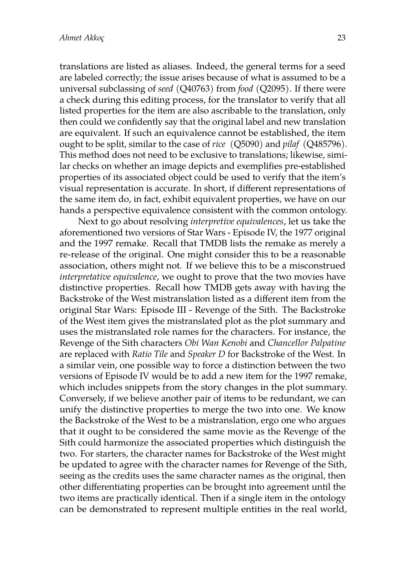translations are listed as aliases. Indeed, the general terms for a seed are labeled correctly; the issue arises because of what is assumed to be a universal subclassing of *seed* (Q40763) from *food* (Q2095). If there were a check during this editing process, for the translator to verify that all listed properties for the item are also ascribable to the translation, only then could we confidently say that the original label and new translation are equivalent. If such an equivalence cannot be established, the item ought to be split, similar to the case of *rice* (Q5090) and *pilaf* (Q485796). This method does not need to be exclusive to translations; likewise, similar checks on whether an image depicts and exemplifies pre-established properties of its associated object could be used to verify that the item's visual representation is accurate. In short, if different representations of the same item do, in fact, exhibit equivalent properties, we have on our hands a perspective equivalence consistent with the common ontology.

Next to go about resolving *interpretive equivalences*, let us take the aforementioned two versions of Star Wars - Episode IV, the 1977 original and the 1997 remake. Recall that TMDB lists the remake as merely a re-release of the original. One might consider this to be a reasonable association, others might not. If we believe this to be a misconstrued *interpretative equivalence*, we ought to prove that the two movies have distinctive properties. Recall how TMDB gets away with having the Backstroke of the West mistranslation listed as a different item from the original Star Wars: Episode III - Revenge of the Sith. The Backstroke of the West item gives the mistranslated plot as the plot summary and uses the mistranslated role names for the characters. For instance, the Revenge of the Sith characters *Obi Wan Kenobi* and *Chancellor Palpatine* are replaced with *Ratio Tile* and *Speaker D* for Backstroke of the West. In a similar vein, one possible way to force a distinction between the two versions of Episode IV would be to add a new item for the 1997 remake, which includes snippets from the story changes in the plot summary. Conversely, if we believe another pair of items to be redundant, we can unify the distinctive properties to merge the two into one. We know the Backstroke of the West to be a mistranslation, ergo one who argues that it ought to be considered the same movie as the Revenge of the Sith could harmonize the associated properties which distinguish the two. For starters, the character names for Backstroke of the West might be updated to agree with the character names for Revenge of the Sith, seeing as the credits uses the same character names as the original, then other differentiating properties can be brought into agreement until the two items are practically identical. Then if a single item in the ontology can be demonstrated to represent multiple entities in the real world,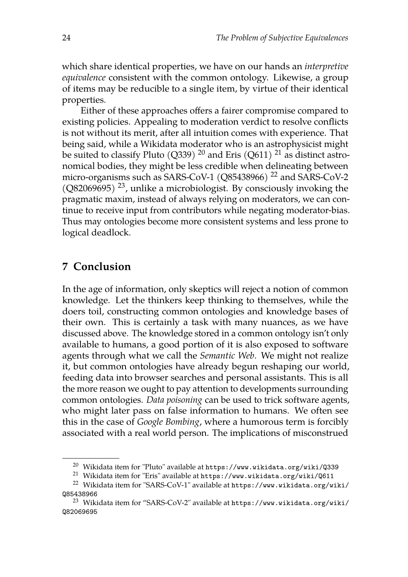which share identical properties, we have on our hands an *interpretive equivalence* consistent with the common ontology. Likewise, a group of items may be reducible to a single item, by virtue of their identical properties.

Either of these approaches offers a fairer compromise compared to existing policies. Appealing to moderation verdict to resolve conflicts is not without its merit, after all intuition comes with experience. That being said, while a Wikidata moderator who is an astrophysicist might be suited to classify Pluto (Q339) <sup>20</sup> and Eris (Q611) <sup>21</sup> as distinct astronomical bodies, they might be less credible when delineating between micro-organisms such as SARS-CoV-1 ( $Q85438966$ )<sup>22</sup> and SARS-CoV-2  $(Q82069695)$ <sup>23</sup>, unlike a microbiologist. By consciously invoking the pragmatic maxim, instead of always relying on moderators, we can continue to receive input from contributors while negating moderator-bias. Thus may ontologies become more consistent systems and less prone to logical deadlock.

#### **7 Conclusion**

In the age of information, only skeptics will reject a notion of common knowledge. Let the thinkers keep thinking to themselves, while the doers toil, constructing common ontologies and knowledge bases of their own. This is certainly a task with many nuances, as we have discussed above. The knowledge stored in a common ontology isn't only available to humans, a good portion of it is also exposed to software agents through what we call the *Semantic Web*. We might not realize it, but common ontologies have already begun reshaping our world, feeding data into browser searches and personal assistants. This is all the more reason we ought to pay attention to developments surrounding common ontologies. *Data poisoning* can be used to trick software agents, who might later pass on false information to humans. We often see this in the case of *Google Bombing*, where a humorous term is forcibly associated with a real world person. The implications of misconstrued

<sup>20</sup> Wikidata item for "Pluto" available at <https://www.wikidata.org/wiki/Q339>

<sup>21</sup> Wikidata item for "Eris" available at <https://www.wikidata.org/wiki/Q611>

<sup>22</sup> Wikidata item for "SARS-CoV-1" available at [https://www.wikidata.org/wiki/](https://www.wikidata.org/wiki/Q85438966) [Q85438966](https://www.wikidata.org/wiki/Q85438966)

<sup>&</sup>lt;sup>23</sup> Wikidata item for "SARS-CoV-2" available at  $https://www.wikipedia.org/wiki/$ [Q82069695](https://www.wikidata.org/wiki/Q82069695)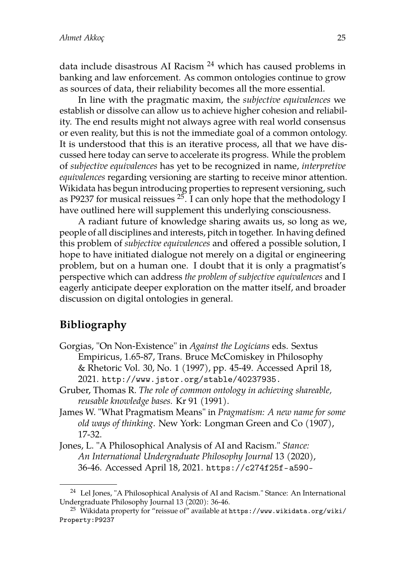data include disastrous AI Racism <sup>24</sup> which has caused problems in banking and law enforcement. As common ontologies continue to grow as sources of data, their reliability becomes all the more essential.

In line with the pragmatic maxim, the *subjective equivalences* we establish or dissolve can allow us to achieve higher cohesion and reliability. The end results might not always agree with real world consensus or even reality, but this is not the immediate goal of a common ontology. It is understood that this is an iterative process, all that we have discussed here today can serve to accelerate its progress. While the problem of *subjective equivalences* has yet to be recognized in name, *interpretive equivalences* regarding versioning are starting to receive minor attention. Wikidata has begun introducing properties to represent versioning, such as P9237 for musical reissues  $25.$  I can only hope that the methodology I have outlined here will supplement this underlying consciousness.

A radiant future of knowledge sharing awaits us, so long as we, people of all disciplines and interests, pitch in together. In having defined this problem of *subjective equivalences* and offered a possible solution, I hope to have initiated dialogue not merely on a digital or engineering problem, but on a human one. I doubt that it is only a pragmatist's perspective which can address *the problem of subjective equivalences* and I eagerly anticipate deeper exploration on the matter itself, and broader discussion on digital ontologies in general.

#### **Bibliography**

- Gorgias, "On Non-Existence" in *Against the Logicians* eds. Sextus Empiricus, 1.65-87, Trans. Bruce McComiskey in Philosophy & Rhetoric Vol. 30, No. 1 (1997), pp. 45-49. Accessed April 18, 2021. <http://www.jstor.org/stable/40237935.>
- Gruber, Thomas R. *The role of common ontology in achieving shareable, reusable knowledge bases.* Kr 91 (1991).
- James W. "What Pragmatism Means" in *Pragmatism: A new name for some old ways of thinking*. New York: Longman Green and Co (1907), 17-32.
- Jones, L. "A Philosophical Analysis of AI and Racism." *Stance: An International Undergraduate Philosophy Journal* 13 (2020), 36-46. Accessed April 18, 2021. <https://c274f25f-a590->

<sup>24</sup> Lel Jones, "A Philosophical Analysis of AI and Racism." Stance: An International Undergraduate Philosophy Journal 13 (2020): 36-46.

<sup>&</sup>lt;sup>25</sup> Wikidata property for "reissue of" available at [https://www.wikidata.org/wiki/](https://www.wikidata.org/wiki/Property:P9237) [Property:P9237](https://www.wikidata.org/wiki/Property:P9237)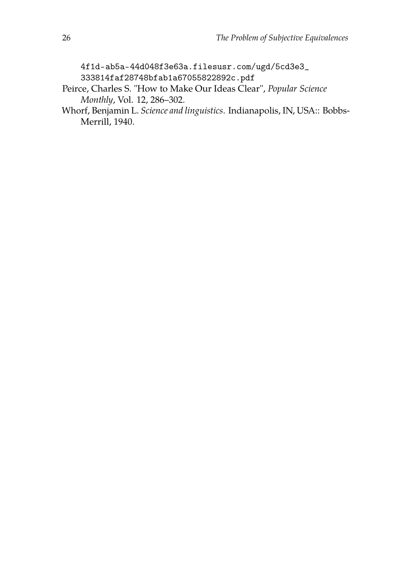[4f1d-ab5a-44d048f3e63a.filesusr.com/ugd/5cd3e3\\_](4f1d-ab5a-44d048f3e63a.filesusr.com/ugd/5cd3e3_) <333814faf28748bfab1a67055822892c.pdf>

- Peirce, Charles S. "How to Make Our Ideas Clear", *Popular Science Monthly*, Vol. 12, 286–302.
- Whorf, Benjamin L. *Science and linguistics*. Indianapolis, IN, USA:: Bobbs-Merrill, 1940.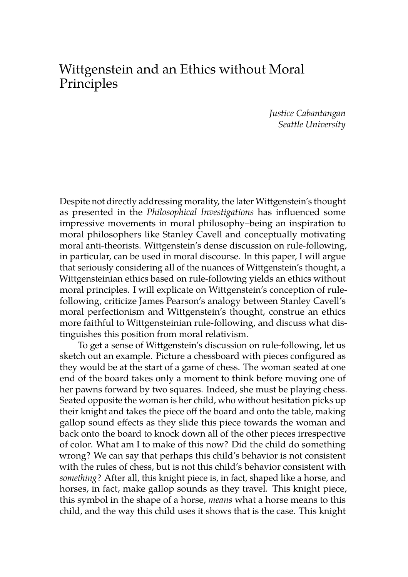# Wittgenstein and an Ethics without Moral Principles

*Justice Cabantangan Seattle University*

Despite not directly addressing morality, the later Wittgenstein's thought as presented in the *Philosophical Investigations* has influenced some impressive movements in moral philosophy–being an inspiration to moral philosophers like Stanley Cavell and conceptually motivating moral anti-theorists. Wittgenstein's dense discussion on rule-following, in particular, can be used in moral discourse. In this paper, I will argue that seriously considering all of the nuances of Wittgenstein's thought, a Wittgensteinian ethics based on rule-following yields an ethics without moral principles. I will explicate on Wittgenstein's conception of rulefollowing, criticize James Pearson's analogy between Stanley Cavell's moral perfectionism and Wittgenstein's thought, construe an ethics more faithful to Wittgensteinian rule-following, and discuss what distinguishes this position from moral relativism.

To get a sense of Wittgenstein's discussion on rule-following, let us sketch out an example. Picture a chessboard with pieces configured as they would be at the start of a game of chess. The woman seated at one end of the board takes only a moment to think before moving one of her pawns forward by two squares. Indeed, she must be playing chess. Seated opposite the woman is her child, who without hesitation picks up their knight and takes the piece off the board and onto the table, making gallop sound effects as they slide this piece towards the woman and back onto the board to knock down all of the other pieces irrespective of color. What am I to make of this now? Did the child do something wrong? We can say that perhaps this child's behavior is not consistent with the rules of chess, but is not this child's behavior consistent with *something*? After all, this knight piece is, in fact, shaped like a horse, and horses, in fact, make gallop sounds as they travel. This knight piece, this symbol in the shape of a horse, *means* what a horse means to this child, and the way this child uses it shows that is the case. This knight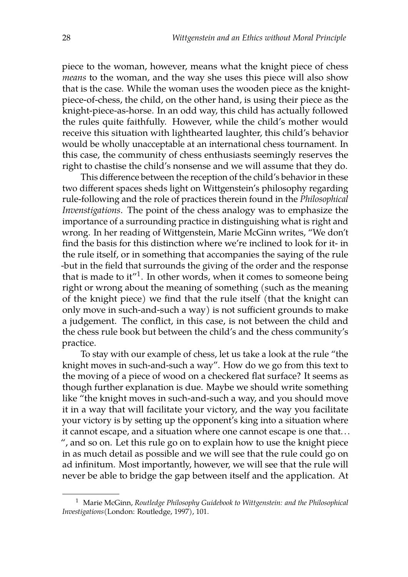piece to the woman, however, means what the knight piece of chess *means* to the woman, and the way she uses this piece will also show that is the case. While the woman uses the wooden piece as the knightpiece-of-chess, the child, on the other hand, is using their piece as the knight-piece-as-horse. In an odd way, this child has actually followed the rules quite faithfully. However, while the child's mother would receive this situation with lighthearted laughter, this child's behavior would be wholly unacceptable at an international chess tournament. In this case, the community of chess enthusiasts seemingly reserves the right to chastise the child's nonsense and we will assume that they do.

This difference between the reception of the child's behavior in these two different spaces sheds light on Wittgenstein's philosophy regarding rule-following and the role of practices therein found in the *Philosophical Invenstigations*. The point of the chess analogy was to emphasize the importance of a surrounding practice in distinguishing what is right and wrong. In her reading of Wittgenstein, Marie McGinn writes, "We don't find the basis for this distinction where we're inclined to look for it- in the rule itself, or in something that accompanies the saying of the rule -but in the field that surrounds the giving of the order and the response that is made to it"<sup>1</sup>. In other words, when it comes to someone being right or wrong about the meaning of something (such as the meaning of the knight piece) we find that the rule itself (that the knight can only move in such-and-such a way) is not sufficient grounds to make a judgement. The conflict, in this case, is not between the child and the chess rule book but between the child's and the chess community's practice.

To stay with our example of chess, let us take a look at the rule "the knight moves in such-and-such a way". How do we go from this text to the moving of a piece of wood on a checkered flat surface? It seems as though further explanation is due. Maybe we should write something like "the knight moves in such-and-such a way, and you should move it in a way that will facilitate your victory, and the way you facilitate your victory is by setting up the opponent's king into a situation where it cannot escape, and a situation where one cannot escape is one that... ", and so on. Let this rule go on to explain how to use the knight piece in as much detail as possible and we will see that the rule could go on ad infinitum. Most importantly, however, we will see that the rule will never be able to bridge the gap between itself and the application. At

<sup>1</sup> Marie McGinn, *Routledge Philosophy Guidebook to Wittgenstein: and the Philosophical Investigations*(London: Routledge, 1997), 101.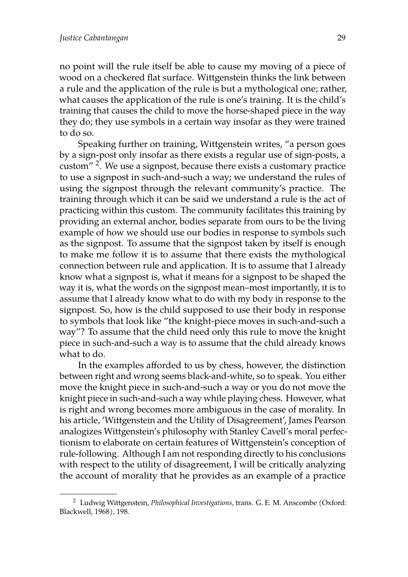no point will the rule itself be able to cause my moving of a piece of wood on a checkered flat surface. Wittgenstein thinks the link between a rule and the application of the rule is but a mythological one; rather, what causes the application of the rule is one's training. It is the child's training that causes the child to move the horse-shaped piece in the way they do; they use symbols in a certain way insofar as they were trained to do so.

Speaking further on training, Wittgenstein writes, "a person goes by a sign-post only insofar as there exists a regular use of sign-posts, a custom" <sup>2</sup>. We use a signpost, because there exists a customary practice to use a signpost in such-and-such a way; we understand the rules of using the signpost through the relevant community's practice. The training through which it can be said we understand a rule is the act of practicing within this custom. The community facilitates this training by providing an external anchor, bodies separate from ours to be the living example of how we should use our bodies in response to symbols such as the signpost. To assume that the signpost taken by itself is enough to make me follow it is to assume that there exists the mythological connection between rule and application. It is to assume that I already know what a signpost is, what it means for a signpost to be shaped the way it is, what the words on the signpost mean–most importantly, it is to assume that I already know what to do with my body in response to the signpost. So, how is the child supposed to use their body in response to symbols that look like "the knight-piece moves in such-and-such a way"? To assume that the child need only this rule to move the knight piece in such-and-such a way is to assume that the child already knows what to do.

In the examples afforded to us by chess, however, the distinction between right and wrong seems black-and-white, so to speak. You either move the knight piece in such-and-such a way or you do not move the knight piece in such-and-such a way while playing chess. However, what is right and wrong becomes more ambiguous in the case of morality. In his article, 'Wittgenstein and the Utility of Disagreement', James Pearson analogizes Wittgenstein's philosophy with Stanley Cavell's moral perfectionism to elaborate on certain features of Wittgenstein's conception of rule-following. Although I am not responding directly to his conclusions with respect to the utility of disagreement, I will be critically analyzing the account of morality that he provides as an example of a practice

<sup>2</sup> Ludwig Wittgenstein, *Philosophical Investigations*, trans. G. E. M. Anscombe (Oxford: Blackwell, 1968), 198.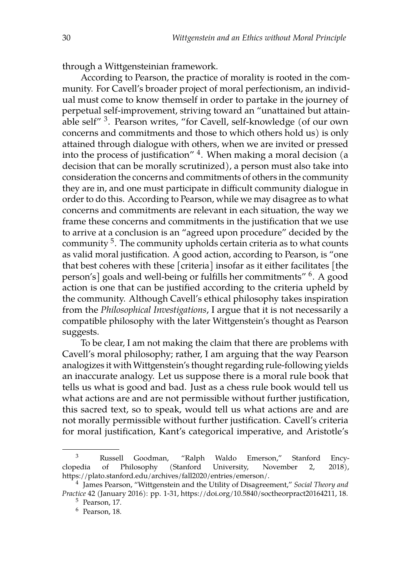through a Wittgensteinian framework.

According to Pearson, the practice of morality is rooted in the community. For Cavell's broader project of moral perfectionism, an individual must come to know themself in order to partake in the journey of perpetual self-improvement, striving toward an "unattained but attainable self" <sup>3</sup>. Pearson writes, "for Cavell, self-knowledge (of our own concerns and commitments and those to which others hold us) is only attained through dialogue with others, when we are invited or pressed into the process of justification" <sup>4</sup>. When making a moral decision (a decision that can be morally scrutinized), a person must also take into consideration the concerns and commitments of others in the community they are in, and one must participate in difficult community dialogue in order to do this. According to Pearson, while we may disagree as to what concerns and commitments are relevant in each situation, the way we frame these concerns and commitments in the justification that we use to arrive at a conclusion is an "agreed upon procedure" decided by the community  $5$ . The community upholds certain criteria as to what counts as valid moral justification. A good action, according to Pearson, is "one that best coheres with these [criteria] insofar as it either facilitates [the person's] goals and well-being or fulfills her commitments"  $^6$ . A good action is one that can be justified according to the criteria upheld by the community. Although Cavell's ethical philosophy takes inspiration from the *Philosophical Investigations*, I argue that it is not necessarily a compatible philosophy with the later Wittgenstein's thought as Pearson suggests.

To be clear, I am not making the claim that there are problems with Cavell's moral philosophy; rather, I am arguing that the way Pearson analogizes it with Wittgenstein's thought regarding rule-following yields an inaccurate analogy. Let us suppose there is a moral rule book that tells us what is good and bad. Just as a chess rule book would tell us what actions are and are not permissible without further justification, this sacred text, so to speak, would tell us what actions are and are not morally permissible without further justification. Cavell's criteria for moral justification, Kant's categorical imperative, and Aristotle's

<sup>3</sup> Russell Goodman, "Ralph Waldo Emerson," Stanford Encyclopedia of Philosophy (Stanford University, November 2, 2018), https://plato.stanford.edu/archives/fall2020/entries/emerson/.

<sup>4</sup> James Pearson, "Wittgenstein and the Utility of Disagreement," *Social Theory and Practice* 42 (January 2016): pp. 1-31, https://doi.org/10.5840/soctheorpract20164211, 18.

<sup>5</sup> Pearson, 17.

<sup>6</sup> Pearson, 18.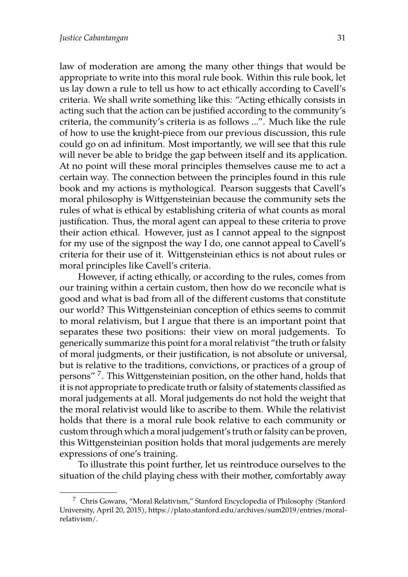law of moderation are among the many other things that would be appropriate to write into this moral rule book. Within this rule book, let us lay down a rule to tell us how to act ethically according to Cavell's criteria. We shall write something like this: "Acting ethically consists in acting such that the action can be justified according to the community's criteria, the community's criteria is as follows ...". Much like the rule of how to use the knight-piece from our previous discussion, this rule could go on ad infinitum. Most importantly, we will see that this rule will never be able to bridge the gap between itself and its application. At no point will these moral principles themselves cause me to act a certain way. The connection between the principles found in this rule book and my actions is mythological. Pearson suggests that Cavell's moral philosophy is Wittgensteinian because the community sets the rules of what is ethical by establishing criteria of what counts as moral justification. Thus, the moral agent can appeal to these criteria to prove their action ethical. However, just as I cannot appeal to the signpost for my use of the signpost the way I do, one cannot appeal to Cavell's criteria for their use of it. Wittgensteinian ethics is not about rules or moral principles like Cavell's criteria.

However, if acting ethically, or according to the rules, comes from our training within a certain custom, then how do we reconcile what is good and what is bad from all of the different customs that constitute our world? This Wittgensteinian conception of ethics seems to commit to moral relativism, but I argue that there is an important point that separates these two positions: their view on moral judgements. To generically summarize this point for a moral relativist "the truth or falsity of moral judgments, or their justification, is not absolute or universal, but is relative to the traditions, convictions, or practices of a group of persons" <sup>7</sup>. This Wittgensteinian position, on the other hand, holds that it is not appropriate to predicate truth or falsity of statements classified as moral judgements at all. Moral judgements do not hold the weight that the moral relativist would like to ascribe to them. While the relativist holds that there is a moral rule book relative to each community or custom through which a moral judgement's truth or falsity can be proven, this Wittgensteinian position holds that moral judgements are merely expressions of one's training.

To illustrate this point further, let us reintroduce ourselves to the situation of the child playing chess with their mother, comfortably away

<sup>7</sup> Chris Gowans, "Moral Relativism," Stanford Encyclopedia of Philosophy (Stanford University, April 20, 2015), https://plato.stanford.edu/archives/sum2019/entries/moralrelativism/.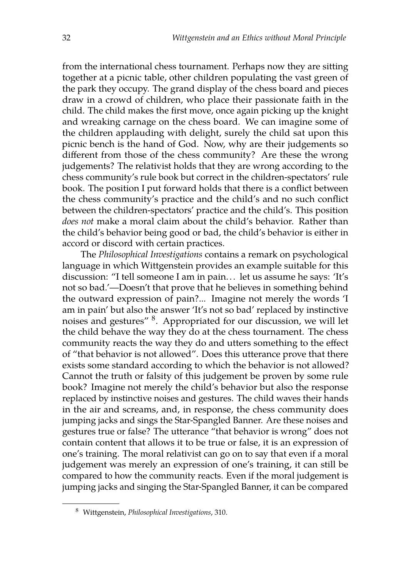from the international chess tournament. Perhaps now they are sitting together at a picnic table, other children populating the vast green of the park they occupy. The grand display of the chess board and pieces draw in a crowd of children, who place their passionate faith in the child. The child makes the first move, once again picking up the knight and wreaking carnage on the chess board. We can imagine some of the children applauding with delight, surely the child sat upon this picnic bench is the hand of God. Now, why are their judgements so different from those of the chess community? Are these the wrong judgements? The relativist holds that they are wrong according to the chess community's rule book but correct in the children-spectators' rule book. The position I put forward holds that there is a conflict between the chess community's practice and the child's and no such conflict between the children-spectators' practice and the child's. This position *does not* make a moral claim about the child's behavior. Rather than the child's behavior being good or bad, the child's behavior is either in accord or discord with certain practices.

The *Philosophical Investigations* contains a remark on psychological language in which Wittgenstein provides an example suitable for this discussion: "I tell someone I am in pain... let us assume he says: 'It's not so bad.'—Doesn't that prove that he believes in something behind the outward expression of pain?... Imagine not merely the words 'I am in pain' but also the answer 'It's not so bad' replaced by instinctive noises and gestures" <sup>8</sup>. Appropriated for our discussion, we will let the child behave the way they do at the chess tournament. The chess community reacts the way they do and utters something to the effect of "that behavior is not allowed". Does this utterance prove that there exists some standard according to which the behavior is not allowed? Cannot the truth or falsity of this judgement be proven by some rule book? Imagine not merely the child's behavior but also the response replaced by instinctive noises and gestures. The child waves their hands in the air and screams, and, in response, the chess community does jumping jacks and sings the Star-Spangled Banner. Are these noises and gestures true or false? The utterance "that behavior is wrong" does not contain content that allows it to be true or false, it is an expression of one's training. The moral relativist can go on to say that even if a moral judgement was merely an expression of one's training, it can still be compared to how the community reacts. Even if the moral judgement is jumping jacks and singing the Star-Spangled Banner, it can be compared

<sup>8</sup> Wittgenstein, *Philosophical Investigations*, 310.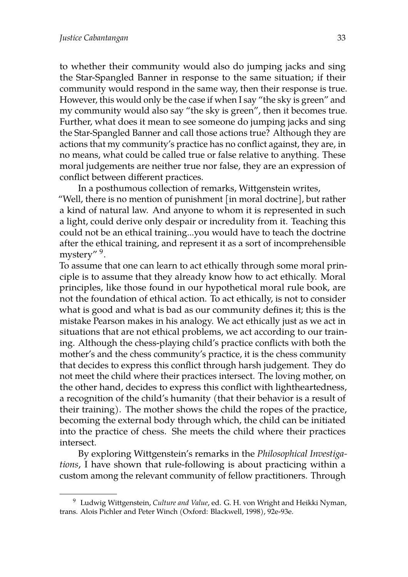to whether their community would also do jumping jacks and sing the Star-Spangled Banner in response to the same situation; if their community would respond in the same way, then their response is true. However, this would only be the case if when I say "the sky is green" and my community would also say "the sky is green", then it becomes true. Further, what does it mean to see someone do jumping jacks and sing the Star-Spangled Banner and call those actions true? Although they are actions that my community's practice has no conflict against, they are, in no means, what could be called true or false relative to anything. These moral judgements are neither true nor false, they are an expression of conflict between different practices.

In a posthumous collection of remarks, Wittgenstein writes, "Well, there is no mention of punishment [in moral doctrine], but rather a kind of natural law. And anyone to whom it is represented in such a light, could derive only despair or incredulity from it. Teaching this could not be an ethical training...you would have to teach the doctrine after the ethical training, and represent it as a sort of incomprehensible mystery" <sup>9</sup>.

To assume that one can learn to act ethically through some moral principle is to assume that they already know how to act ethically. Moral principles, like those found in our hypothetical moral rule book, are not the foundation of ethical action. To act ethically, is not to consider what is good and what is bad as our community defines it; this is the mistake Pearson makes in his analogy. We act ethically just as we act in situations that are not ethical problems, we act according to our training. Although the chess-playing child's practice conflicts with both the mother's and the chess community's practice, it is the chess community that decides to express this conflict through harsh judgement. They do not meet the child where their practices intersect. The loving mother, on the other hand, decides to express this conflict with lightheartedness, a recognition of the child's humanity (that their behavior is a result of their training). The mother shows the child the ropes of the practice, becoming the external body through which, the child can be initiated into the practice of chess. She meets the child where their practices intersect.

By exploring Wittgenstein's remarks in the *Philosophical Investigations*, I have shown that rule-following is about practicing within a custom among the relevant community of fellow practitioners. Through

<sup>9</sup> Ludwig Wittgenstein, *Culture and Value*, ed. G. H. von Wright and Heikki Nyman, trans. Alois Pichler and Peter Winch (Oxford: Blackwell, 1998), 92e-93e.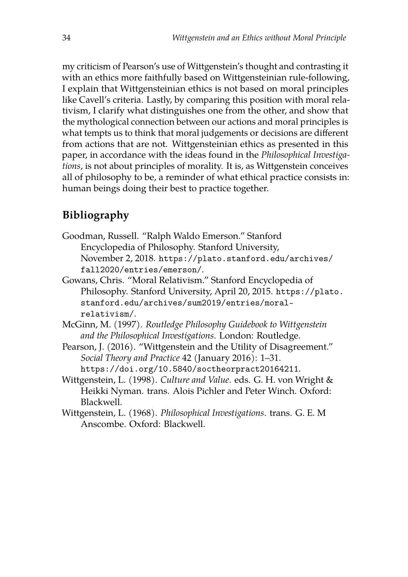my criticism of Pearson's use of Wittgenstein's thought and contrasting it with an ethics more faithfully based on Wittgensteinian rule-following, I explain that Wittgensteinian ethics is not based on moral principles like Cavell's criteria. Lastly, by comparing this position with moral relativism, I clarify what distinguishes one from the other, and show that the mythological connection between our actions and moral principles is what tempts us to think that moral judgements or decisions are different from actions that are not. Wittgensteinian ethics as presented in this paper, in accordance with the ideas found in the *Philosophical Investigations*, is not about principles of morality. It is, as Wittgenstein conceives all of philosophy to be, a reminder of what ethical practice consists in: human beings doing their best to practice together.

## **Bibliography**

- Goodman, Russell. "Ralph Waldo Emerson." Stanford Encyclopedia of Philosophy. Stanford University, November 2, 2018. <https://plato.stanford.edu/archives/> <fall2020/entries/emerson/>.
- Gowans, Chris. "Moral Relativism." Stanford Encyclopedia of Philosophy. Stanford University, April 20, 2015. <https://plato.> [stanford.edu/archives/sum2019/entries/moral](stanford.edu/archives/sum2019/entries/moral-)<relativism/>.
- McGinn, M. (1997). *Routledge Philosophy Guidebook to Wittgenstein and the Philosophical Investigations*. London: Routledge.
- Pearson, J. (2016). "Wittgenstein and the Utility of Disagreement." *Social Theory and Practice* 42 (January 2016): 1–31. <https://doi.org/10.5840/soctheorpract20164211>.
- Wittgenstein, L. (1998). *Culture and Value*. eds. G. H. von Wright & Heikki Nyman. trans. Alois Pichler and Peter Winch. Oxford: Blackwell.
- Wittgenstein, L. (1968). *Philosophical Investigations*. trans. G. E. M Anscombe. Oxford: Blackwell.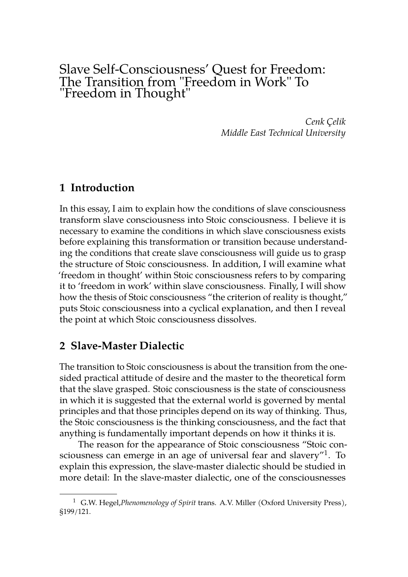## Slave Self-Consciousness' Quest for Freedom: The Transition from "Freedom in Work" To "Freedom in Thought"

*Cenk Çelik Middle East Technical University*

#### **1 Introduction**

In this essay, I aim to explain how the conditions of slave consciousness transform slave consciousness into Stoic consciousness. I believe it is necessary to examine the conditions in which slave consciousness exists before explaining this transformation or transition because understanding the conditions that create slave consciousness will guide us to grasp the structure of Stoic consciousness. In addition, I will examine what 'freedom in thought' within Stoic consciousness refers to by comparing it to 'freedom in work' within slave consciousness. Finally, I will show how the thesis of Stoic consciousness "the criterion of reality is thought," puts Stoic consciousness into a cyclical explanation, and then I reveal the point at which Stoic consciousness dissolves.

#### **2 Slave-Master Dialectic**

The transition to Stoic consciousness is about the transition from the onesided practical attitude of desire and the master to the theoretical form that the slave grasped. Stoic consciousness is the state of consciousness in which it is suggested that the external world is governed by mental principles and that those principles depend on its way of thinking. Thus, the Stoic consciousness is the thinking consciousness, and the fact that anything is fundamentally important depends on how it thinks it is.

The reason for the appearance of Stoic consciousness "Stoic consciousness can emerge in an age of universal fear and slavery" $^1$ . To explain this expression, the slave-master dialectic should be studied in more detail: In the slave-master dialectic, one of the consciousnesses

<sup>1</sup> G.W. Hegel,*Phenomenology of Spirit* trans. A.V. Miller (Oxford University Press), §199/121.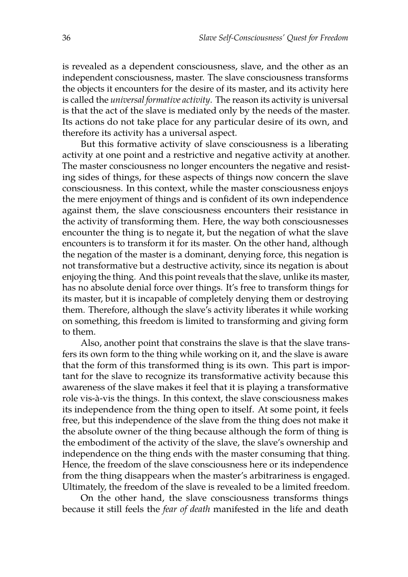is revealed as a dependent consciousness, slave, and the other as an independent consciousness, master. The slave consciousness transforms the objects it encounters for the desire of its master, and its activity here is called the *universal formative activity*. The reason its activity is universal is that the act of the slave is mediated only by the needs of the master. Its actions do not take place for any particular desire of its own, and therefore its activity has a universal aspect.

But this formative activity of slave consciousness is a liberating activity at one point and a restrictive and negative activity at another. The master consciousness no longer encounters the negative and resisting sides of things, for these aspects of things now concern the slave consciousness. In this context, while the master consciousness enjoys the mere enjoyment of things and is confident of its own independence against them, the slave consciousness encounters their resistance in the activity of transforming them. Here, the way both consciousnesses encounter the thing is to negate it, but the negation of what the slave encounters is to transform it for its master. On the other hand, although the negation of the master is a dominant, denying force, this negation is not transformative but a destructive activity, since its negation is about enjoying the thing. And this point reveals that the slave, unlike its master, has no absolute denial force over things. It's free to transform things for its master, but it is incapable of completely denying them or destroying them. Therefore, although the slave's activity liberates it while working on something, this freedom is limited to transforming and giving form to them.

Also, another point that constrains the slave is that the slave transfers its own form to the thing while working on it, and the slave is aware that the form of this transformed thing is its own. This part is important for the slave to recognize its transformative activity because this awareness of the slave makes it feel that it is playing a transformative role vis-à-vis the things. In this context, the slave consciousness makes its independence from the thing open to itself. At some point, it feels free, but this independence of the slave from the thing does not make it the absolute owner of the thing because although the form of thing is the embodiment of the activity of the slave, the slave's ownership and independence on the thing ends with the master consuming that thing. Hence, the freedom of the slave consciousness here or its independence from the thing disappears when the master's arbitrariness is engaged. Ultimately, the freedom of the slave is revealed to be a limited freedom.

On the other hand, the slave consciousness transforms things because it still feels the *fear of death* manifested in the life and death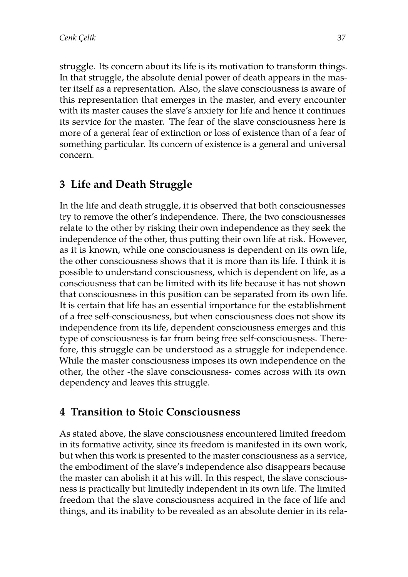struggle. Its concern about its life is its motivation to transform things. In that struggle, the absolute denial power of death appears in the master itself as a representation. Also, the slave consciousness is aware of this representation that emerges in the master, and every encounter with its master causes the slave's anxiety for life and hence it continues its service for the master. The fear of the slave consciousness here is more of a general fear of extinction or loss of existence than of a fear of something particular. Its concern of existence is a general and universal concern.

# **3 Life and Death Struggle**

In the life and death struggle, it is observed that both consciousnesses try to remove the other's independence. There, the two consciousnesses relate to the other by risking their own independence as they seek the independence of the other, thus putting their own life at risk. However, as it is known, while one consciousness is dependent on its own life, the other consciousness shows that it is more than its life. I think it is possible to understand consciousness, which is dependent on life, as a consciousness that can be limited with its life because it has not shown that consciousness in this position can be separated from its own life. It is certain that life has an essential importance for the establishment of a free self-consciousness, but when consciousness does not show its independence from its life, dependent consciousness emerges and this type of consciousness is far from being free self-consciousness. Therefore, this struggle can be understood as a struggle for independence. While the master consciousness imposes its own independence on the other, the other -the slave consciousness- comes across with its own dependency and leaves this struggle.

## **4 Transition to Stoic Consciousness**

As stated above, the slave consciousness encountered limited freedom in its formative activity, since its freedom is manifested in its own work, but when this work is presented to the master consciousness as a service, the embodiment of the slave's independence also disappears because the master can abolish it at his will. In this respect, the slave consciousness is practically but limitedly independent in its own life. The limited freedom that the slave consciousness acquired in the face of life and things, and its inability to be revealed as an absolute denier in its rela-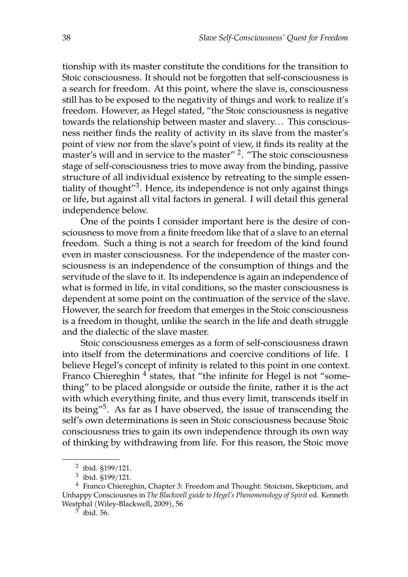tionship with its master constitute the conditions for the transition to Stoic consciousness. It should not be forgotten that self-consciousness is a search for freedom. At this point, where the slave is, consciousness still has to be exposed to the negativity of things and work to realize it's freedom. However, as Hegel stated, "the Stoic consciousness is negative towards the relationship between master and slavery... This consciousness neither finds the reality of activity in its slave from the master's point of view nor from the slave's point of view, it finds its reality at the master's will and in service to the master'' <sup>2</sup>. "The stoic consciousness stage of self-consciousness tries to move away from the binding, passive structure of all individual existence by retreating to the simple essentiality of thought"<sup>3</sup>. Hence, its independence is not only against things or life, but against all vital factors in general. I will detail this general independence below.

One of the points I consider important here is the desire of consciousness to move from a finite freedom like that of a slave to an eternal freedom. Such a thing is not a search for freedom of the kind found even in master consciousness. For the independence of the master consciousness is an independence of the consumption of things and the servitude of the slave to it. Its independence is again an independence of what is formed in life, in vital conditions, so the master consciousness is dependent at some point on the continuation of the service of the slave. However, the search for freedom that emerges in the Stoic consciousness is a freedom in thought, unlike the search in the life and death struggle and the dialectic of the slave master.

Stoic consciousness emerges as a form of self-consciousness drawn into itself from the determinations and coercive conditions of life. I believe Hegel's concept of infinity is related to this point in one context. Franco Chiereghin <sup>4</sup> states, that "the infinite for Hegel is not "something" to be placed alongside or outside the finite, rather it is the act with which everything finite, and thus every limit, transcends itself in its being"<sup>5</sup>. As far as I have observed, the issue of transcending the self's own determinations is seen in Stoic consciousness because Stoic consciousness tries to gain its own independence through its own way of thinking by withdrawing from life. For this reason, the Stoic move

<sup>2</sup> ibid. §199/121.

<sup>3</sup> ibid. §199/121.

<sup>&</sup>lt;sup>4</sup> Franco Chiereghin, Chapter 3: Freedom and Thought: Stoicism, Skepticism, and Unhappy Consciousnes in *The Blackwell guide to Hegel's Phenomenology of Spirit* ed. Kenneth Westphal (Wiley-Blackwell, 2009), 56

<sup>5</sup> ibid. 56.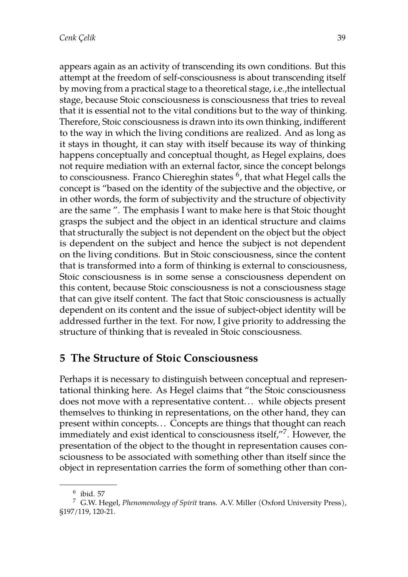appears again as an activity of transcending its own conditions. But this attempt at the freedom of self-consciousness is about transcending itself by moving from a practical stage to a theoretical stage, i.e.,the intellectual stage, because Stoic consciousness is consciousness that tries to reveal that it is essential not to the vital conditions but to the way of thinking. Therefore, Stoic consciousness is drawn into its own thinking, indifferent to the way in which the living conditions are realized. And as long as it stays in thought, it can stay with itself because its way of thinking happens conceptually and conceptual thought, as Hegel explains, does not require mediation with an external factor, since the concept belongs to consciousness. Franco Chiereghin states  $^6$ , that what Hegel calls the concept is "based on the identity of the subjective and the objective, or in other words, the form of subjectivity and the structure of objectivity are the same ". The emphasis I want to make here is that Stoic thought grasps the subject and the object in an identical structure and claims that structurally the subject is not dependent on the object but the object is dependent on the subject and hence the subject is not dependent on the living conditions. But in Stoic consciousness, since the content that is transformed into a form of thinking is external to consciousness, Stoic consciousness is in some sense a consciousness dependent on this content, because Stoic consciousness is not a consciousness stage that can give itself content. The fact that Stoic consciousness is actually dependent on its content and the issue of subject-object identity will be addressed further in the text. For now, I give priority to addressing the structure of thinking that is revealed in Stoic consciousness.

## **5 The Structure of Stoic Consciousness**

Perhaps it is necessary to distinguish between conceptual and representational thinking here. As Hegel claims that "the Stoic consciousness does not move with a representative content... while objects present themselves to thinking in representations, on the other hand, they can present within concepts.. . Concepts are things that thought can reach immediately and exist identical to consciousness itself, $^{\prime\prime7}.$  However, the presentation of the object to the thought in representation causes consciousness to be associated with something other than itself since the object in representation carries the form of something other than con-

<sup>6</sup> ibid. 57

<sup>7</sup> G.W. Hegel, *Phenomenology of Spirit* trans. A.V. Miller (Oxford University Press), §197/119, 120-21.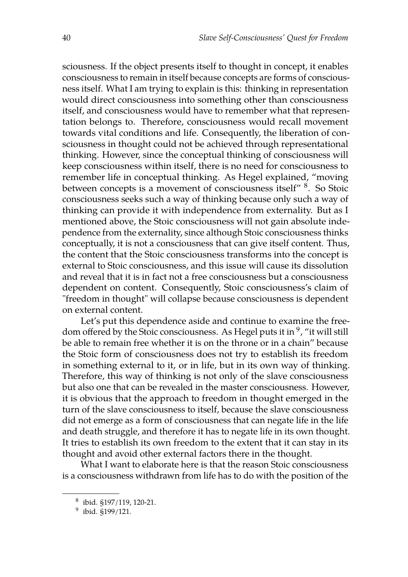sciousness. If the object presents itself to thought in concept, it enables consciousness to remain in itself because concepts are forms of consciousness itself. What I am trying to explain is this: thinking in representation would direct consciousness into something other than consciousness itself, and consciousness would have to remember what that representation belongs to. Therefore, consciousness would recall movement towards vital conditions and life. Consequently, the liberation of consciousness in thought could not be achieved through representational thinking. However, since the conceptual thinking of consciousness will keep consciousness within itself, there is no need for consciousness to remember life in conceptual thinking. As Hegel explained, "moving between concepts is a movement of consciousness itself" <sup>8</sup>. So Stoic consciousness seeks such a way of thinking because only such a way of thinking can provide it with independence from externality. But as I mentioned above, the Stoic consciousness will not gain absolute independence from the externality, since although Stoic consciousness thinks conceptually, it is not a consciousness that can give itself content. Thus, the content that the Stoic consciousness transforms into the concept is external to Stoic consciousness, and this issue will cause its dissolution and reveal that it is in fact not a free consciousness but a consciousness dependent on content. Consequently, Stoic consciousness's claim of "freedom in thought" will collapse because consciousness is dependent on external content.

Let's put this dependence aside and continue to examine the freedom offered by the Stoic consciousness. As Hegel puts it in <sup>9</sup>, "it will still be able to remain free whether it is on the throne or in a chain" because the Stoic form of consciousness does not try to establish its freedom in something external to it, or in life, but in its own way of thinking. Therefore, this way of thinking is not only of the slave consciousness but also one that can be revealed in the master consciousness. However, it is obvious that the approach to freedom in thought emerged in the turn of the slave consciousness to itself, because the slave consciousness did not emerge as a form of consciousness that can negate life in the life and death struggle, and therefore it has to negate life in its own thought. It tries to establish its own freedom to the extent that it can stay in its thought and avoid other external factors there in the thought.

What I want to elaborate here is that the reason Stoic consciousness is a consciousness withdrawn from life has to do with the position of the

 $^8$  ibid. §197/119, 120-21.

<sup>&</sup>lt;sup>9</sup> ibid. §199/121.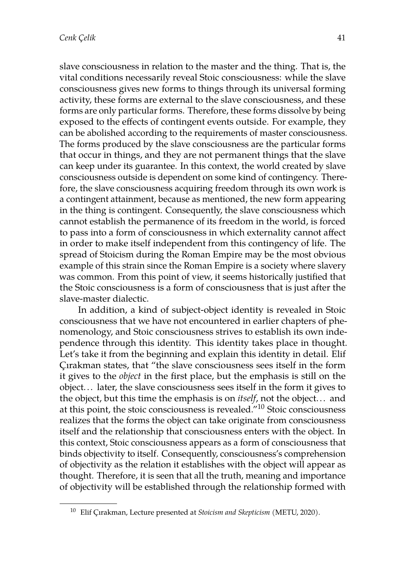slave consciousness in relation to the master and the thing. That is, the vital conditions necessarily reveal Stoic consciousness: while the slave consciousness gives new forms to things through its universal forming activity, these forms are external to the slave consciousness, and these forms are only particular forms. Therefore, these forms dissolve by being exposed to the effects of contingent events outside. For example, they can be abolished according to the requirements of master consciousness. The forms produced by the slave consciousness are the particular forms that occur in things, and they are not permanent things that the slave can keep under its guarantee. In this context, the world created by slave consciousness outside is dependent on some kind of contingency. Therefore, the slave consciousness acquiring freedom through its own work is a contingent attainment, because as mentioned, the new form appearing in the thing is contingent. Consequently, the slave consciousness which cannot establish the permanence of its freedom in the world, is forced to pass into a form of consciousness in which externality cannot affect in order to make itself independent from this contingency of life. The spread of Stoicism during the Roman Empire may be the most obvious example of this strain since the Roman Empire is a society where slavery was common. From this point of view, it seems historically justified that the Stoic consciousness is a form of consciousness that is just after the slave-master dialectic.

In addition, a kind of subject-object identity is revealed in Stoic consciousness that we have not encountered in earlier chapters of phenomenology, and Stoic consciousness strives to establish its own independence through this identity. This identity takes place in thought. Let's take it from the beginning and explain this identity in detail. Elif Çırakman states, that "the slave consciousness sees itself in the form it gives to the *object* in the first place, but the emphasis is still on the object.. . later, the slave consciousness sees itself in the form it gives to the object, but this time the emphasis is on *itself*, not the object... and at this point, the stoic consciousness is revealed."<sup>10</sup> Stoic consciousness realizes that the forms the object can take originate from consciousness itself and the relationship that consciousness enters with the object. In this context, Stoic consciousness appears as a form of consciousness that binds objectivity to itself. Consequently, consciousness's comprehension of objectivity as the relation it establishes with the object will appear as thought. Therefore, it is seen that all the truth, meaning and importance of objectivity will be established through the relationship formed with

<sup>10</sup> Elif Çırakman, Lecture presented at *Stoicism and Skepticism* (METU, 2020).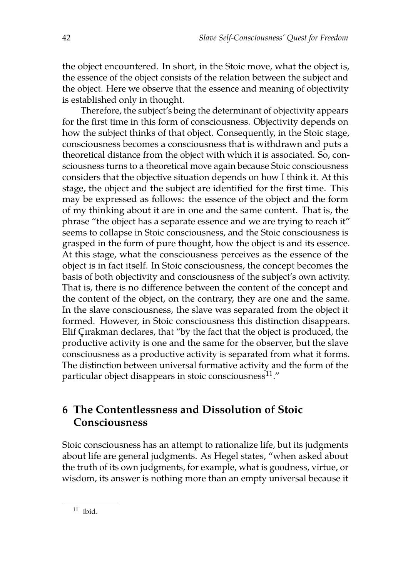the object encountered. In short, in the Stoic move, what the object is, the essence of the object consists of the relation between the subject and the object. Here we observe that the essence and meaning of objectivity is established only in thought.

Therefore, the subject's being the determinant of objectivity appears for the first time in this form of consciousness. Objectivity depends on how the subject thinks of that object. Consequently, in the Stoic stage, consciousness becomes a consciousness that is withdrawn and puts a theoretical distance from the object with which it is associated. So, consciousness turns to a theoretical move again because Stoic consciousness considers that the objective situation depends on how I think it. At this stage, the object and the subject are identified for the first time. This may be expressed as follows: the essence of the object and the form of my thinking about it are in one and the same content. That is, the phrase "the object has a separate essence and we are trying to reach it" seems to collapse in Stoic consciousness, and the Stoic consciousness is grasped in the form of pure thought, how the object is and its essence. At this stage, what the consciousness perceives as the essence of the object is in fact itself. In Stoic consciousness, the concept becomes the basis of both objectivity and consciousness of the subject's own activity. That is, there is no difference between the content of the concept and the content of the object, on the contrary, they are one and the same. In the slave consciousness, the slave was separated from the object it formed. However, in Stoic consciousness this distinction disappears. Elif Çırakman declares, that "by the fact that the object is produced, the productive activity is one and the same for the observer, but the slave consciousness as a productive activity is separated from what it forms. The distinction between universal formative activity and the form of the particular object disappears in stoic consciousness $^{11}$ ."

## **6 The Contentlessness and Dissolution of Stoic Consciousness**

Stoic consciousness has an attempt to rationalize life, but its judgments about life are general judgments. As Hegel states, "when asked about the truth of its own judgments, for example, what is goodness, virtue, or wisdom, its answer is nothing more than an empty universal because it

 $11$  ibid.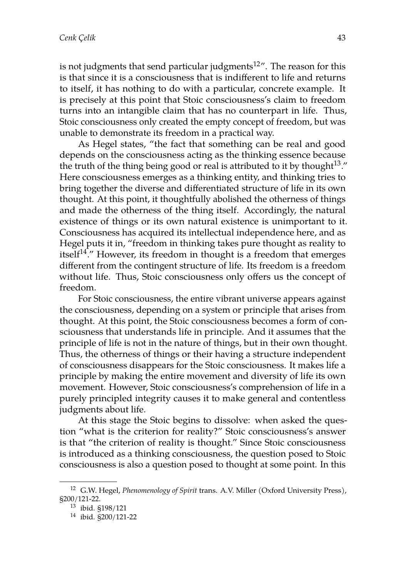is not judgments that send particular judgments<sup>12</sup>". The reason for this is that since it is a consciousness that is indifferent to life and returns to itself, it has nothing to do with a particular, concrete example. It is precisely at this point that Stoic consciousness's claim to freedom turns into an intangible claim that has no counterpart in life. Thus, Stoic consciousness only created the empty concept of freedom, but was unable to demonstrate its freedom in a practical way.

As Hegel states, "the fact that something can be real and good depends on the consciousness acting as the thinking essence because the truth of the thing being good or real is attributed to it by thought  $13.''$ . Here consciousness emerges as a thinking entity, and thinking tries to bring together the diverse and differentiated structure of life in its own thought. At this point, it thoughtfully abolished the otherness of things and made the otherness of the thing itself. Accordingly, the natural existence of things or its own natural existence is unimportant to it. Consciousness has acquired its intellectual independence here, and as Hegel puts it in, "freedom in thinking takes pure thought as reality to itself<sup>14</sup>." However, its freedom in thought is a freedom that emerges different from the contingent structure of life. Its freedom is a freedom without life. Thus, Stoic consciousness only offers us the concept of freedom.

For Stoic consciousness, the entire vibrant universe appears against the consciousness, depending on a system or principle that arises from thought. At this point, the Stoic consciousness becomes a form of consciousness that understands life in principle. And it assumes that the principle of life is not in the nature of things, but in their own thought. Thus, the otherness of things or their having a structure independent of consciousness disappears for the Stoic consciousness. It makes life a principle by making the entire movement and diversity of life its own movement. However, Stoic consciousness's comprehension of life in a purely principled integrity causes it to make general and contentless judgments about life.

At this stage the Stoic begins to dissolve: when asked the question "what is the criterion for reality?" Stoic consciousness's answer is that "the criterion of reality is thought." Since Stoic consciousness is introduced as a thinking consciousness, the question posed to Stoic consciousness is also a question posed to thought at some point. In this

<sup>12</sup> G.W. Hegel, *Phenomenology of Spirit* trans. A.V. Miller (Oxford University Press), §200/121-22.

<sup>13</sup> ibid. §198/121

<sup>14</sup> ibid. §200/121-22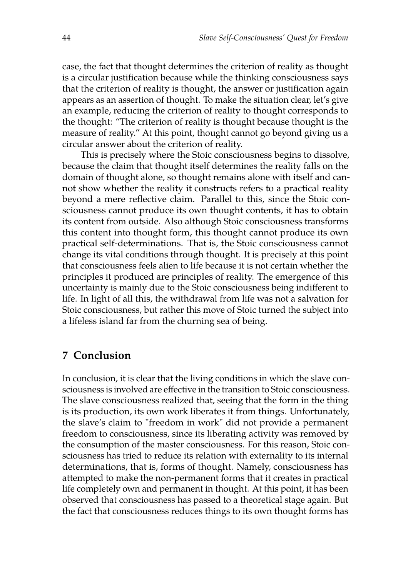case, the fact that thought determines the criterion of reality as thought is a circular justification because while the thinking consciousness says that the criterion of reality is thought, the answer or justification again appears as an assertion of thought. To make the situation clear, let's give an example, reducing the criterion of reality to thought corresponds to the thought: "The criterion of reality is thought because thought is the measure of reality." At this point, thought cannot go beyond giving us a circular answer about the criterion of reality.

This is precisely where the Stoic consciousness begins to dissolve, because the claim that thought itself determines the reality falls on the domain of thought alone, so thought remains alone with itself and cannot show whether the reality it constructs refers to a practical reality beyond a mere reflective claim. Parallel to this, since the Stoic consciousness cannot produce its own thought contents, it has to obtain its content from outside. Also although Stoic consciousness transforms this content into thought form, this thought cannot produce its own practical self-determinations. That is, the Stoic consciousness cannot change its vital conditions through thought. It is precisely at this point that consciousness feels alien to life because it is not certain whether the principles it produced are principles of reality. The emergence of this uncertainty is mainly due to the Stoic consciousness being indifferent to life. In light of all this, the withdrawal from life was not a salvation for Stoic consciousness, but rather this move of Stoic turned the subject into a lifeless island far from the churning sea of being.

#### **7 Conclusion**

In conclusion, it is clear that the living conditions in which the slave consciousness is involved are effective in the transition to Stoic consciousness. The slave consciousness realized that, seeing that the form in the thing is its production, its own work liberates it from things. Unfortunately, the slave's claim to "freedom in work" did not provide a permanent freedom to consciousness, since its liberating activity was removed by the consumption of the master consciousness. For this reason, Stoic consciousness has tried to reduce its relation with externality to its internal determinations, that is, forms of thought. Namely, consciousness has attempted to make the non-permanent forms that it creates in practical life completely own and permanent in thought. At this point, it has been observed that consciousness has passed to a theoretical stage again. But the fact that consciousness reduces things to its own thought forms has